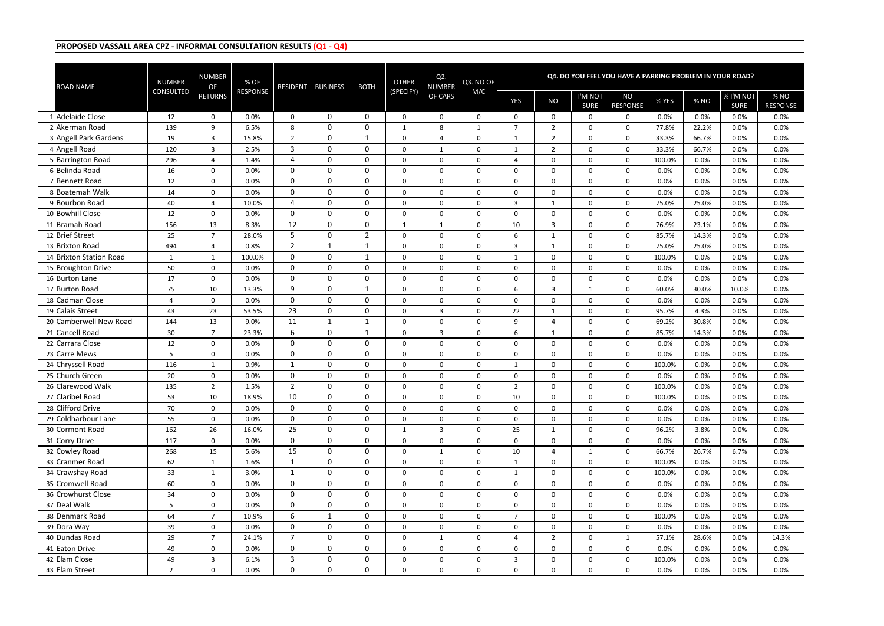| <b>ROAD NAME</b>                     | <b>NUMBER</b><br><b>CONSULTED</b> | NUMBER<br><b>OF</b> | % OF<br><b>RESPONSE</b> | <b>RESIDENT</b> | <b>BUSINESS</b>  | <b>BOTH</b>                 | <b>OTHER</b><br>(SPECIFY) | $Q2$ .<br><b>NUMBER</b> | Q3. NO OF<br>M/C     |                            |                  |                        | Q4. DO YOU FEEL YOU HAVE A PARKING PROBLEM IN YOUR ROAD? |                |              |                          |                         |
|--------------------------------------|-----------------------------------|---------------------|-------------------------|-----------------|------------------|-----------------------------|---------------------------|-------------------------|----------------------|----------------------------|------------------|------------------------|----------------------------------------------------------|----------------|--------------|--------------------------|-------------------------|
|                                      |                                   | <b>RETURNS</b>      |                         |                 |                  |                             |                           | OF CARS                 |                      | YES                        | <b>NO</b>        | I'M NOT<br><b>SURE</b> | <b>NO</b><br><b>RESPONSE</b>                             | % YES          | % NO         | % I'M NOT<br><b>SURE</b> | % NO<br><b>RESPONSE</b> |
| 1 Adelaide Close                     | 12                                | $\Omega$            | 0.0%                    | $\mathbf{0}$    | $\Omega$         | $\mathbf{0}$                | $\Omega$                  | $\Omega$                | $\Omega$             | $\Omega$                   | 0                | 0                      | $\Omega$                                                 | 0.0%           | 0.0%         | 0.0%                     | 0.0%                    |
| 2 Akerman Road                       | 139                               | 9                   | 6.5%                    | 8               | $\mathbf 0$      | $\mathbf 0$                 | $\mathbf{1}$              | 8                       | $\mathbf{1}$         | $\overline{7}$             | $\overline{2}$   | $\mathbf{0}$           | $\mathbf 0$                                              | 77.8%          | 22.2%        | 0.0%                     | 0.0%                    |
| 3 Angell Park Gardens                | 19                                | 3                   | 15.8%                   | $\overline{2}$  | $\mathbf 0$      |                             | 0                         | $\overline{4}$          | $\mathbf{0}$         | -1                         | $\overline{2}$   | 0                      | $\mathbf 0$                                              | 33.3%          | 66.7%        | 0.0%                     | 0.0%                    |
| 4 Angell Road                        | 120                               | $\mathbf{3}$        | 2.5%                    | 3               | $\mathbf 0$      | $\mathbf 0$                 | 0                         | $\mathbf{1}$            | $\mathbf 0$          | 1                          | $\overline{2}$   | 0                      | $\Omega$                                                 | 33.3%          | 66.7%        | 0.0%                     | 0.0%                    |
| 5 Barrington Road                    | 296                               | 4                   | 1.4%                    | 4               | $\mathbf 0$      | $\mathbf 0$                 | $\mathbf 0$               | $\mathbf 0$             | $\mathbf 0$          | $\overline{4}$             | $\mathbf 0$      | 0                      | $\mathbf 0$                                              | 100.0%         | 0.0%         | 0.0%                     | 0.0%                    |
| 6 Belinda Road                       | 16                                | 0                   | 0.0%                    | $\overline{0}$  | $\mathbf{0}$     | $\mathbf 0$                 | $\mathbf 0$               | $\mathbf 0$             | $\mathbf{0}$         | $\Omega$                   | $\mathbf 0$      | 0                      | $\Omega$                                                 | 0.0%           | 0.0%         | 0.0%                     | 0.0%                    |
| 7 Bennett Road                       | 12                                | $\Omega$            | 0.0%                    | $\mathbf 0$     | 0                | $\mathbf 0$                 | $\Omega$                  | $\mathbf{0}$            | $\mathbf{0}$         | $\Omega$                   | 0                | $\overline{0}$         | $\Omega$                                                 | 0.0%           | 0.0%         | 0.0%                     | 0.0%                    |
| 8 Boatemah Walk                      | 14                                | $\mathbf 0$         | 0.0%                    | $\mathbf 0$     | $\mathbf 0$      | $\mathbf 0$                 | $\mathbf 0$               | $\mathbf 0$             | $\mathbf 0$          | $\mathbf 0$                | $\mathbf 0$      | $\mathbf{0}$           | $\Omega$                                                 | 0.0%           | 0.0%         | 0.0%                     | 0.0%                    |
| 9 Bourbon Road                       | 40                                | 4                   | 10.0%                   | 4               | $\mathbf 0$      | $\mathbf 0$                 | 0                         | $\mathbf 0$             | $\mathbf 0$          | $\overline{3}$             | 1                | $\mathbf 0$            | $\Omega$                                                 | 75.0%          | 25.0%        | 0.0%                     | 0.0%                    |
| 10 Bowhill Close                     | 12                                | $\mathbf 0$         | 0.0%                    | $\mathbf 0$     | $\mathbf 0$      | $\mathbf 0$                 | $\mathbf 0$               | $\mathbf 0$             | $\Omega$             | $\mathbf 0$                | $\mathbf 0$      | 0                      | $\Omega$                                                 | 0.0%           | 0.0%         | 0.0%                     | 0.0%                    |
| 11 Bramah Road                       | 156                               | 13                  | 8.3%                    | 12              | $\mathbf 0$      | $\mathbf 0$                 | 1                         | $\mathbf{1}$            | $\mathbf 0$          | 10                         | $\overline{3}$   | $\mathbf{0}$           | $\mathbf{0}$                                             | 76.9%          | 23.1%        | 0.0%                     | 0.0%                    |
| 12 Brief Street                      | 25                                | $\overline{7}$      | 28.0%                   | 5               | $\mathbf{0}$     | $\overline{2}$              | 0                         | $\mathbf 0$             | $\mathbf{0}$         | 6                          | $\mathbf{1}$     | $\Omega$               | $\Omega$                                                 | 85.7%          | 14.3%        | 0.0%                     | 0.0%                    |
| 13 Brixton Road                      | 494                               | 4                   | 0.8%                    | $\overline{2}$  |                  | -1                          | 0                         | $\Omega$                | $\Omega$             | 3                          | 1                | $\mathbf{0}$           | $\Omega$                                                 | 75.0%          | 25.0%        | 0.0%                     | 0.0%                    |
| 14 Brixton Station Road              | $\mathbf{1}$                      | $\mathbf{1}$        | 100.0%                  | $\mathbf 0$     | $\mathbf 0$      | $\mathbf{1}$                | 0                         | $\mathbf 0$             | $\mathbf{0}$         | $\mathbf{1}$               | 0                | $\mathbf{0}$           | $\mathbf{0}$                                             | 100.0%         | 0.0%         | 0.0%                     | 0.0%                    |
| 15 Broughton Drive                   | 50                                | $\mathbf 0$         | 0.0%                    | 0               | $\mathbf 0$      | 0                           | $\mathbf 0$               | $\mathbf 0$             | $\mathbf{0}$         | $\mathbf 0$                | $\mathbf 0$      | $\mathbf 0$            | $\Omega$                                                 | 0.0%           | 0.0%         | 0.0%                     | 0.0%                    |
| 16 Burton Lane                       | 17                                | $\mathbf 0$         | 0.0%                    | $\mathbf 0$     | $\mathbf 0$      | $\mathbf 0$                 | 0                         | $\mathbf 0$             | $\mathbf{0}$         | $\mathbf 0$                | $\mathbf 0$      | 0                      | $\mathbf{0}$                                             | 0.0%           | 0.0%         | 0.0%                     | 0.0%                    |
| 17 Burton Road                       | 75                                | 10                  | 13.3%                   | 9               | $\mathbf 0$      | 1                           | 0                         | $\mathbf 0$             | 0                    | 6                          | 3                |                        | $\Omega$                                                 | 60.0%          | 30.0%        | 10.0%                    | 0.0%                    |
| 18 Cadman Close                      | 4                                 | 0                   | 0.0%                    | $\Omega$        | $\mathbf{0}$     | $\mathbf{0}$                | 0                         | $\mathbf 0$             | $\mathbf{0}$         | $\Omega$                   | 0                | 0                      | $\Omega$                                                 | 0.0%           | 0.0%         | 0.0%                     | 0.0%                    |
| 19 Calais Street                     | 43                                | 23                  | 53.5%                   | 23              | 0                | $\mathbf{0}$                | $\Omega$                  | 3                       | $\Omega$             | 22                         | 1                | 0                      | $\Omega$                                                 | 95.7%          | 4.3%         | 0.0%                     | 0.0%                    |
| 20 Camberwell New Road               | 144                               | 13                  | 9.0%                    | 11              | 1                | 1                           | $\Omega$                  | $\mathbf{0}$            | $\Omega$             | q                          | 4                | 0                      | $\Omega$                                                 | 69.2%          | 30.8%        | 0.0%                     | 0.0%                    |
| 21 Cancell Road                      | 30                                | $\overline{7}$      | 23.3%                   | 6               | $\mathbf 0$      | -1                          | $\Omega$                  | 3                       | $\Omega$             | 6                          | 1                | $\mathbf{0}$           | $\mathbf 0$                                              | 85.7%          | 14.3%        | 0.0%                     | 0.0%                    |
| 22 Carrara Close                     | 12                                | 0                   | 0.0%                    | $\mathbf 0$     | $\mathbf 0$      | $\mathbf 0$                 | 0                         | $\mathbf 0$             | $\mathbf{0}$         | $\mathbf 0$                | 0                | 0                      | $\Omega$                                                 | 0.0%           | 0.0%         | 0.0%                     | 0.0%                    |
| 23 Carre Mews                        | 5.                                | $\mathbf 0$         | 0.0%                    | $\mathbf 0$     | $\mathbf 0$      | $\mathbf 0$                 | 0                         | $\mathbf 0$             | $\mathbf 0$          | $\mathbf 0$                | $\mathbf 0$      | 0                      | $\Omega$                                                 | 0.0%           | 0.0%         | 0.0%                     | 0.0%                    |
| 24 Chryssell Road<br>25 Church Green | 116                               | $\mathbf{1}$        | 0.9%                    | 1<br>$\Omega$   | $\mathbf 0$      | $\mathbf 0$<br>$\mathbf{0}$ | $\mathbf 0$               | $\mathbf 0$             | $\mathbf 0$          | 1                          | $\mathbf 0$      | $\mathbf{0}$           | $\mathbf 0$<br>$\Omega$                                  | 100.0%         | 0.0%         | 0.0%                     | 0.0%                    |
| 26 Clarewood Walk                    | 20<br>135                         | 0                   | 0.0%                    | $\overline{2}$  | $\mathbf 0$<br>0 | $\mathbf{0}$                | $\Omega$                  | $\Omega$<br>$\Omega$    | $\Omega$<br>$\Omega$ | $\Omega$<br>$\overline{2}$ | $\mathbf 0$<br>0 | 0<br>0                 | $\Omega$                                                 | 0.0%<br>100.0% | 0.0%<br>0.0% | 0.0%<br>0.0%             | 0.0%<br>0.0%            |
| 27 Claribel Road                     |                                   | $\overline{2}$      | 1.5%                    | 10              | $\mathbf 0$      | $\mathbf 0$                 | 0                         |                         |                      |                            |                  |                        |                                                          |                | 0.0%         | 0.0%                     |                         |
| 28 Clifford Drive                    | 53<br>70                          | 10<br>$\mathbf 0$   | 18.9%<br>0.0%           | $\overline{0}$  | $\mathbf 0$      | $\mathbf 0$                 | 0<br>$\mathbf 0$          | $\bf{0}$<br>$\mathbf 0$ | 0<br>$\mathbf 0$     | 10<br>$\mathbf 0$          | 0<br>$\mathbf 0$ | 0<br>$\mathbf 0$       | 0<br>$\mathbf{0}$                                        | 100.0%<br>0.0% | 0.0%         | 0.0%                     | $0.0\%$<br>0.0%         |
| 29 Coldharbour Lane                  | 55                                | 0                   | 0.0%                    | $\overline{0}$  | $\mathbf 0$      | $\mathbf 0$                 | $\mathbf 0$               | $\mathbf 0$             | 0                    | $\mathbf 0$                | $\mathbf 0$      | $\mathbf 0$            | 0                                                        | 0.0%           | 0.0%         | 0.0%                     | 0.0%                    |
| 30 Cormont Road                      | 162                               | 26                  | 16.0%                   | 25              | $\mathbf 0$      | $\mathbf 0$                 | 1                         | $\overline{3}$          | $\mathbf 0$          | 25                         | $\mathbf{1}$     | $\mathbf 0$            | 0                                                        | 96.2%          | 3.8%         | 0.0%                     | 0.0%                    |
| 31 Corry Drive                       | 117                               | 0                   | 0.0%                    | $\mathbf 0$     | $\mathbf 0$      | $\mathbf 0$                 | 0                         | $\boldsymbol{0}$        | $\mathbf{0}$         | $\mathbf 0$                | 0                | $\mathbf 0$            | $\mathbf 0$                                              | 0.0%           | 0.0%         | 0.0%                     | 0.0%                    |
| 32 Cowley Road                       | 268                               | 15                  | 5.6%                    | 15              | $\mathbf 0$      | 0                           | $\mathbf 0$               | 1                       | $\mathbf{0}$         | 10                         | 4                | 1                      | $\mathbf 0$                                              | 66.7%          | 26.7%        | 6.7%                     | 0.0%                    |
| 33 Cranmer Road                      | 62                                | $\mathbf{1}$        | 1.6%                    | $\mathbf{1}$    | $\mathbf 0$      | $\mathbf 0$                 | $\mathbf 0$               | $\mathbf 0$             | $\mathbf 0$          | $\mathbf{1}$               | $\mathbf 0$      | $\mathbf{0}$           | $\mathbf 0$                                              | 100.0%         | 0.0%         | 0.0%                     | 0.0%                    |
| 34 Crawshay Road                     | 33                                | $\mathbf{1}$        | 3.0%                    | 1               | $\mathbf 0$      | $\mathbf 0$                 | $\mathbf 0$               | $\boldsymbol{0}$        | 0                    | $\mathbf{1}$               | $\mathbf 0$      | $\overline{0}$         | $\mathbf 0$                                              | 100.0%         | 0.0%         | 0.0%                     | 0.0%                    |
| 35 Cromwell Road                     | 60                                | $\mathbf 0$         | 0.0%                    | $\mathbf{0}$    | $\mathbf 0$      | $\mathbf 0$                 | 0                         | $\mathbf 0$             | $\mathbf 0$          | $\mathbf 0$                | $\mathbf 0$      | 0                      | $\mathbf 0$                                              | 0.0%           | 0.0%         | 0.0%                     | 0.0%                    |
| 36 Crowhurst Close                   | 34                                | 0                   | 0.0%                    | $\mathbf{0}$    | $\mathbf 0$      | $\mathbf 0$                 | $\mathbf 0$               | $\mathbf 0$             | 0                    | $\mathbf 0$                | $\mathbf 0$      | $\overline{0}$         | 0                                                        | 0.0%           | 0.0%         | 0.0%                     | 0.0%                    |
| 37 Deal Walk                         | 5                                 | 0                   | 0.0%                    | $\overline{0}$  | $\mathbf 0$      | $\mathbf 0$                 | $\mathbf{0}$              | $\boldsymbol{0}$        | $\mathbf{0}$         | $\mathbf 0$                | $\mathbf{0}$     | 0                      | $\mathbf 0$                                              | 0.0%           | 0.0%         | 0.0%                     | 0.0%                    |
| 38 Denmark Road                      | 64                                | $\overline{7}$      | 10.9%                   | 6               | 1                | $\mathbf 0$                 | 0                         | $\boldsymbol{0}$        | $\mathbf{0}$         | $\overline{7}$             | 0                | $\mathbf 0$            | $\mathbf 0$                                              | 100.0%         | 0.0%         | 0.0%                     | 0.0%                    |
| 39 Dora Way                          | 39                                | 0                   | 0.0%                    | $\mathbf{0}$    | $\mathbf 0$      | $\mathbf 0$                 | 0                         | 0                       | $\mathbf 0$          | $\mathbf 0$                | $\mathbf 0$      | 0                      | $\mathbf 0$                                              | 0.0%           | 0.0%         | 0.0%                     | 0.0%                    |
| 40 Dundas Road                       | 29                                | $\overline{7}$      | 24.1%                   | $\overline{7}$  | $\mathbf 0$      | $\mathbf 0$                 | 0                         | 1                       | $\mathbf 0$          | $\overline{4}$             | $\overline{2}$   | $\overline{0}$         | $\mathbf{1}$                                             | 57.1%          | 28.6%        | 0.0%                     | 14.3%                   |
| 41 Eaton Drive                       | 49                                | $\mathbf 0$         | 0.0%                    | $\mathbf{0}$    | $\mathbf 0$      | $\mathbf 0$                 | $\mathbf 0$               | $\boldsymbol{0}$        | $\mathbf 0$          | $\mathbf 0$                | $\mathbf 0$      | 0                      | $\mathbf 0$                                              | 0.0%           | 0.0%         | 0.0%                     | 0.0%                    |
| 42 Elam Close                        | 49                                | $\mathbf{3}$        | 6.1%                    | 3 <sup>1</sup>  | $\mathbf 0$      | $\mathbf 0$                 | 0                         | $\mathbf 0$             | 0                    | $\overline{3}$             | $\mathbf 0$      | $\overline{0}$         | $\mathbf 0$                                              | 100.0%         | 0.0%         | 0.0%                     | 0.0%                    |
| 43 Elam Street                       | $\overline{2}$                    | 0                   | 0.0%                    | $\overline{0}$  | $\mathbf 0$      | $\mathbf 0$                 | $\mathbf 0$               | $\mathbf 0$             | 0                    | $\boldsymbol{0}$           | $\mathbf 0$      | $\mathbf 0$            | 0                                                        | 0.0%           | 0.0%         | 0.0%                     | 0.0%                    |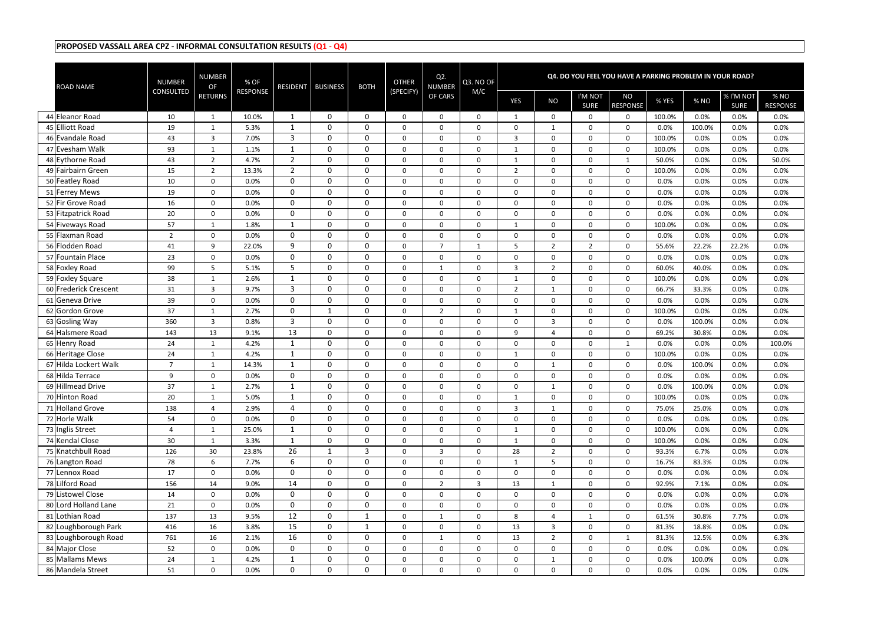| <b>ROAD NAME</b>                           | <b>NUMBER</b>        | NUMBER<br><b>OF</b>          | % OF            | <b>RESIDENT</b> | <b>BUSINESS</b>            | <b>BOTH</b>                | <b>OTHER</b> | $Q2$ .<br><b>NUMBER</b>    | Q3. NO OF         |                  |                  |                        | Q4. DO YOU FEEL YOU HAVE A PARKING PROBLEM IN YOUR ROAD? |                |              |                          |                         |
|--------------------------------------------|----------------------|------------------------------|-----------------|-----------------|----------------------------|----------------------------|--------------|----------------------------|-------------------|------------------|------------------|------------------------|----------------------------------------------------------|----------------|--------------|--------------------------|-------------------------|
|                                            | <b>CONSULTED</b>     | <b>RETURNS</b>               | <b>RESPONSE</b> |                 |                            |                            | (SPECIFY)    | OF CARS                    | M/C               | YES              | <b>NO</b>        | I'M NOT<br><b>SURE</b> | <b>NO</b><br><b>RESPONSE</b>                             | % YES          | % NO         | % I'M NOT<br><b>SURE</b> | % NO<br><b>RESPONSE</b> |
| 44 Eleanor Road                            | 10                   | 1                            | 10.0%           | 1               | $\mathbf 0$                | $\mathbf{0}$               | $\Omega$     | $\Omega$                   | $\Omega$          | 1                | 0                | 0                      | $\Omega$                                                 | 100.0%         | 0.0%         | 0.0%                     | 0.0%                    |
| 45 Elliott Road                            | 19                   | $\mathbf{1}$                 | 5.3%            | 1               | $\mathbf 0$                | $\mathbf 0$                | 0            | $\mathbf 0$                | $\Omega$          | $\mathbf 0$      | $\mathbf{1}$     | 0                      | $\mathbf 0$                                              | 0.0%           | 100.0%       | 0.0%                     | 0.0%                    |
| 46 Evandale Road                           | 43                   | 3                            | 7.0%            | 3               | $\mathbf 0$                | $\mathbf 0$                | 0            | $\mathbf 0$                | $\mathbf{0}$      | $\overline{3}$   | $\mathbf 0$      | 0                      | $\Omega$                                                 | 100.0%         | 0.0%         | 0.0%                     | 0.0%                    |
| 47 Evesham Walk                            | 93                   | $\mathbf{1}$                 | 1.1%            | 1               | $\mathbf 0$                | $\mathbf 0$                | 0            | $\mathbf 0$                | $\mathbf 0$       | 1                | 0                | 0                      | $\Omega$                                                 | 100.0%         | 0.0%         | 0.0%                     | 0.0%                    |
| 48 Eythorne Road                           | 43                   | $\overline{2}$               | 4.7%            | $2^{\circ}$     | $\mathbf 0$                | $\mathbf 0$                | $\mathbf 0$  | 0                          | $\mathbf 0$       | $\mathbf{1}$     | $\mathbf 0$      | 0                      | 1                                                        | 50.0%          | 0.0%         | 0.0%                     | 50.0%                   |
| 49 Fairbairn Green                         | 15                   | $\overline{2}$               | 13.3%           | $2^{\circ}$     | $\mathbf 0$                | $\mathbf 0$                | 0            | $\mathbf 0$                | $\mathbf{0}$      | $\overline{2}$   | $\mathbf 0$      | 0                      | $\Omega$                                                 | 100.0%         | 0.0%         | 0.0%                     | 0.0%                    |
| 50 Featley Road                            | 10                   | $\Omega$                     | 0.0%            | $\mathbf 0$     | 0                          | $\mathbf 0$                | $\Omega$     | $\mathbf{0}$               | $\mathbf{0}$      | $\Omega$         | 0                | $\overline{0}$         | $\mathbf{0}$                                             | 0.0%           | 0.0%         | 0.0%                     | 0.0%                    |
| 51 Ferrey Mews                             | 19                   | $\mathbf 0$                  | 0.0%            | 0               | $\mathbf 0$                | $\mathbf 0$                | $\mathbf 0$  | $\mathbf 0$                | $\mathbf 0$       | $\mathbf 0$      | $\mathbf 0$      | $\mathbf{0}$           | $\Omega$                                                 | 0.0%           | 0.0%         | 0.0%                     | 0.0%                    |
| 52 Fir Grove Road                          | 16                   | $\mathbf 0$                  | 0.0%            | $\mathbf 0$     | $\mathbf 0$                | $\mathbf 0$                | 0            | $\mathbf 0$                | $\mathbf 0$       | $\mathbf 0$      | 0                | $\mathbf 0$            | $\Omega$                                                 | 0.0%           | 0.0%         | 0.0%                     | 0.0%                    |
| 53 Fitzpatrick Road                        | 20                   | $\mathbf 0$                  | 0.0%            | $\mathbf 0$     | $\mathbf 0$                | $\mathbf 0$                | 0            | $\mathbf 0$                | $\mathbf{0}$      | $\mathbf 0$      | $\mathbf 0$      | 0                      | $\Omega$                                                 | 0.0%           | 0.0%         | 0.0%                     | 0.0%                    |
| 54 Fiveways Road                           | 57                   | $\mathbf{1}$                 | 1.8%            | $\mathbf{1}$    | $\mathbf 0$                | $\mathbf 0$                | $\mathbf 0$  | $\mathbf 0$                | $\mathbf 0$       | $\mathbf{1}$     | $\mathbf 0$      | $\mathbf{0}$           | $\mathbf 0$                                              | 100.0%         | 0.0%         | 0.0%                     | 0.0%                    |
| 55 Flaxman Road                            | 2                    | 0                            | 0.0%            | $\mathbf 0$     | $\mathbf{0}$               | $\mathbf 0$                | 0            | $\mathbf 0$                | $\mathbf{0}$      | $\Omega$         | $\mathbf 0$      | 0                      | $\Omega$                                                 | 0.0%           | 0.0%         | 0.0%                     | 0.0%                    |
| 56 Flodden Road                            | 41                   | 9                            | 22.0%           | 9               | 0                          | $\mathbf{0}$               | 0            | 7                          | $\mathbf{1}$      | -5               | $\overline{2}$   | $\overline{2}$         | $\Omega$                                                 | 55.6%          | 22.2%        | 22.2%                    | 0.0%                    |
| 57 Fountain Place                          | 23                   | 0                            | 0.0%            | $\mathbf 0$     | $\mathbf 0$                | $\mathbf 0$                | 0            | $\mathbf{0}$               | $\mathbf{0}$      | $\mathbf 0$      | 0                | 0                      | $\mathbf{0}$                                             | 0.0%           | 0.0%         | 0.0%                     | 0.0%                    |
| 58 Foxley Road                             | 99                   | 5                            | 5.1%            | 5               | $\mathbf 0$                | 0                          | 0            | 1                          | $\mathbf 0$       | $\overline{3}$   | $\overline{2}$   | 0                      | $\Omega$                                                 | 60.0%          | 40.0%        | 0.0%                     | 0.0%                    |
| 59 Foxley Square                           | 38                   | $\mathbf{1}$                 | 2.6%            | 1               | $\mathbf 0$                | $\mathbf 0$                | 0            | $\mathbf 0$                | $\mathbf{0}$      | 1                | $\boldsymbol{0}$ | 0                      | $\mathbf{0}$                                             | 100.0%         | 0.0%         | 0.0%                     | 0.0%                    |
| 60 Frederick Crescent                      | 31                   | $\mathbf{3}$                 | 9.7%            | 3               | $\mathbf 0$                | $\mathbf 0$                | 0            | $\mathbf 0$                | 0                 | $\overline{2}$   | 1                | 0                      | $\Omega$                                                 | 66.7%          | 33.3%        | 0.0%                     | 0.0%                    |
| 61 Geneva Drive                            | 39                   | 0                            | 0.0%            | 0               | $\mathbf{0}$               | $\mathbf{0}$               | 0            | $\mathbf 0$                | $\mathbf{0}$      | $\overline{0}$   | 0                | 0                      | $\Omega$                                                 | 0.0%           | 0.0%         | 0.0%                     | 0.0%                    |
| 62 Gordon Grove                            | 37                   | $\mathbf{1}$                 | 2.7%            | 0               |                            | $\mathbf{0}$               | $\Omega$     | $\overline{2}$             | $\Omega$          | 1                | 0                | 0                      | $\Omega$                                                 | 100.0%         | 0.0%         | 0.0%                     | 0.0%                    |
| 63 Gosling Way                             | 360                  | 3                            | 0.8%            | 3               | $\mathbf 0$                | 0                          | $\Omega$     | $\mathbf{0}$               | $\Omega$          | $\Omega$         | 3                | 0                      | $\Omega$                                                 | 0.0%           | 100.0%       | 0.0%                     | 0.0%                    |
| 64 Halsmere Road                           | 143                  | 13                           | 9.1%            | 13              | $\mathbf 0$                | $\mathbf 0$<br>$\mathbf 0$ | 0            | $\mathbf 0$                | $\Omega$          | 9                | 4                | 0                      | $\mathbf 0$                                              | 69.2%          | 30.8%        | 0.0%                     | 0.0%                    |
| 65 Henry Road                              | 24                   | 1                            | 4.2%<br>4.2%    | 1<br>1          | $\mathbf 0$<br>$\mathbf 0$ | $\mathbf 0$                | 0<br>0       | $\mathbf 0$<br>$\mathbf 0$ | $\mathbf{0}$<br>0 | $\mathbf 0$      | 0<br>0           | 0                      | $\mathbf{1}$<br>$\Omega$                                 | 0.0%<br>100.0% | 0.0%<br>0.0% | 0.0%<br>0.0%             | 100.0%<br>0.0%          |
| 66 Heritage Close<br>67 Hilda Lockert Walk | 24<br>$\overline{7}$ | $\mathbf{1}$<br>$\mathbf{1}$ | 14.3%           | 1               | $\mathbf 0$                | $\mathbf 0$                | 0            | $\mathbf 0$                | $\mathbf 0$       | 1<br>$\mathbf 0$ | $\mathbf{1}$     | 0<br>$\mathbf{0}$      | $\mathbf 0$                                              | 0.0%           | 100.0%       | 0.0%                     | 0.0%                    |
| 68 Hilda Terrace                           | 9                    | 0                            | 0.0%            | $\Omega$        | $\mathbf 0$                | $\mathbf{0}$               | $\Omega$     | $\Omega$                   | $\mathbf{0}$      | $\Omega$         | $\mathbf 0$      | 0                      | $\Omega$                                                 | 0.0%           | 0.0%         | 0.0%                     | 0.0%                    |
| 69 Hillmead Drive                          | 37                   | $\mathbf{1}$                 | 2.7%            | 1               | 0                          | $\mathbf{0}$               | 0            | $\Omega$                   | $\Omega$          | $\Omega$         | $\mathbf{1}$     | 0                      | $\Omega$                                                 | 0.0%           | 100.0%       | 0.0%                     | 0.0%                    |
| 70 Hinton Road                             | 20                   |                              | 5.0%            |                 | 0                          | $\mathbf 0$                | 0            | $\bf{0}$                   | 0                 |                  | 0                | 0                      | 0                                                        | 100.0%         | 0.0%         | $0.0\%$                  | $0.0\%$                 |
| 71 Holland Grove                           | 138                  | $\overline{4}$               | 2.9%            | 4               | $\mathbf 0$                | $\mathbf 0$                | $\mathbf 0$  | $\mathbf 0$                | $\mathbf 0$       | $\overline{3}$   | $\mathbf{1}$     | $\mathbf 0$            | $\mathbf{0}$                                             | 75.0%          | 25.0%        | 0.0%                     | 0.0%                    |
| 72 Horle Walk                              | 54                   | $\mathbf 0$                  | 0.0%            | $\overline{0}$  | $\mathbf 0$                | $\mathbf 0$                | $\mathbf 0$  | $\mathbf 0$                | 0                 | $\boldsymbol{0}$ | $\mathbf 0$      | $\mathbf 0$            | 0                                                        | 0.0%           | 0.0%         | 0.0%                     | 0.0%                    |
| 73 Inglis Street                           | 4                    | $\mathbf{1}$                 | 25.0%           | $\mathbf{1}$    | $\mathbf 0$                | $\mathbf 0$                | $\mathbf 0$  | $\boldsymbol{0}$           | $\mathbf 0$       | $\mathbf{1}$     | $\mathbf{0}$     | $\mathbf{0}$           | $\mathbf 0$                                              | 100.0%         | 0.0%         | 0.0%                     | 0.0%                    |
| 74 Kendal Close                            | 30                   | $\mathbf{1}$                 | 3.3%            | $\mathbf 1$     | $\mathbf 0$                | $\mathbf 0$                | 0            | $\boldsymbol{0}$           | $\mathbf 0$       | 1                | $\mathbf 0$      | $\mathbf 0$            | $\mathbf 0$                                              | 100.0%         | 0.0%         | 0.0%                     | 0.0%                    |
| 75 Knatchbull Road                         | 126                  | 30                           | 23.8%           | 26              |                            | 3                          | $\mathbf 0$  | 3                          | $\mathbf{0}$      | 28               | $\overline{2}$   | 0                      | $\Omega$                                                 | 93.3%          | 6.7%         | 0.0%                     | 0.0%                    |
| 76 Langton Road                            | 78                   | 6                            | 7.7%            | 6               | $\mathbf 0$                | $\mathbf 0$                | $\mathbf 0$  | $\mathbf 0$                | $\mathbf 0$       | $\mathbf{1}$     | 5                | $\mathbf{0}$           | $\mathbf 0$                                              | 16.7%          | 83.3%        | 0.0%                     | 0.0%                    |
| 77 Lennox Road                             | 17                   | 0                            | 0.0%            | $\mathbf{0}$    | $\mathbf 0$                | $\mathbf 0$                | $\mathbf 0$  | $\mathbf 0$                | 0                 | $\mathbf 0$      | $\boldsymbol{0}$ | $\mathbf 0$            | $\mathbf 0$                                              | 0.0%           | 0.0%         | 0.0%                     | 0.0%                    |
| 78 Lilford Road                            | 156                  | 14                           | 9.0%            | 14              | $\mathbf 0$                | $\mathbf 0$                | 0            | $\overline{2}$             | $\mathbf{3}$      | 13               | $\mathbf{1}$     | $\mathbf 0$            | $\mathbf 0$                                              | 92.9%          | 7.1%         | 0.0%                     | 0.0%                    |
| 79 Listowel Close                          | 14                   | 0                            | 0.0%            | $\overline{0}$  | $\mathbf 0$                | $\mathbf 0$                | $\mathbf 0$  | $\mathbf 0$                | 0                 | 0                | $\mathbf 0$      | $\mathbf 0$            | 0                                                        | 0.0%           | 0.0%         | 0.0%                     | 0.0%                    |
| 80 Lord Holland Lane                       | 21                   | 0                            | 0.0%            | $\overline{0}$  | $\mathbf 0$                | $\mathbf 0$                | $\mathbf{0}$ | $\boldsymbol{0}$           | $\mathbf{0}$      | $\mathbf 0$      | $\mathbf 0$      | 0                      | $\mathbf 0$                                              | 0.0%           | 0.0%         | 0.0%                     | 0.0%                    |
| 81 Lothian Road                            | 137                  | 13                           | 9.5%            | 12              | $\mathbf 0$                | 1                          | 0            | 1                          | $\mathbf{0}$      | 8                | 4                | $\mathbf{1}$           | $\mathbf 0$                                              | 61.5%          | 30.8%        | 7.7%                     | 0.0%                    |
| 82 Loughborough Park                       | 416                  | 16                           | 3.8%            | 15              | $\mathbf 0$                | 1                          | 0            | 0                          | 0                 | 13               | $\mathbf{3}$     | 0                      | $\mathbf 0$                                              | 81.3%          | 18.8%        | 0.0%                     | 0.0%                    |
| 83 Loughborough Road                       | 761                  | 16                           | 2.1%            | 16              | $\mathbf 0$                | $\mathbf 0$                | 0            | $\mathbf{1}$               | $\mathbf 0$       | 13               | $\overline{2}$   | $\mathbf 0$            | $\mathbf{1}$                                             | 81.3%          | 12.5%        | 0.0%                     | 6.3%                    |
| 84 Major Close                             | 52                   | 0                            | 0.0%            | $\overline{0}$  | $\mathbf 0$                | $\mathbf 0$                | $\mathbf 0$  | $\mathbf 0$                | $\mathbf 0$       | $\mathbf 0$      | $\mathsf 0$      | 0                      | $\mathbf 0$                                              | 0.0%           | 0.0%         | 0.0%                     | 0.0%                    |
| 85 Mallams Mews                            | 24                   | $\mathbf{1}$                 | 4.2%            | $\mathbf{1}$    | $\mathbf 0$                | $\mathbf 0$                | 0            | $\mathbf 0$                | 0                 | $\mathbf 0$      | $\mathbf{1}$     | $\mathbf 0$            | 0                                                        | 0.0%           | 100.0%       | 0.0%                     | 0.0%                    |
| 86 Mandela Street                          | 51                   | 0                            | 0.0%            | $\overline{0}$  | $\mathbf 0$                | $\mathbf 0$                | $\mathbf 0$  | $\mathbf 0$                | 0                 | $\mathbf 0$      | $\mathbf 0$      | $\mathbf 0$            | $\boldsymbol{0}$                                         | 0.0%           | 0.0%         | 0.0%                     | 0.0%                    |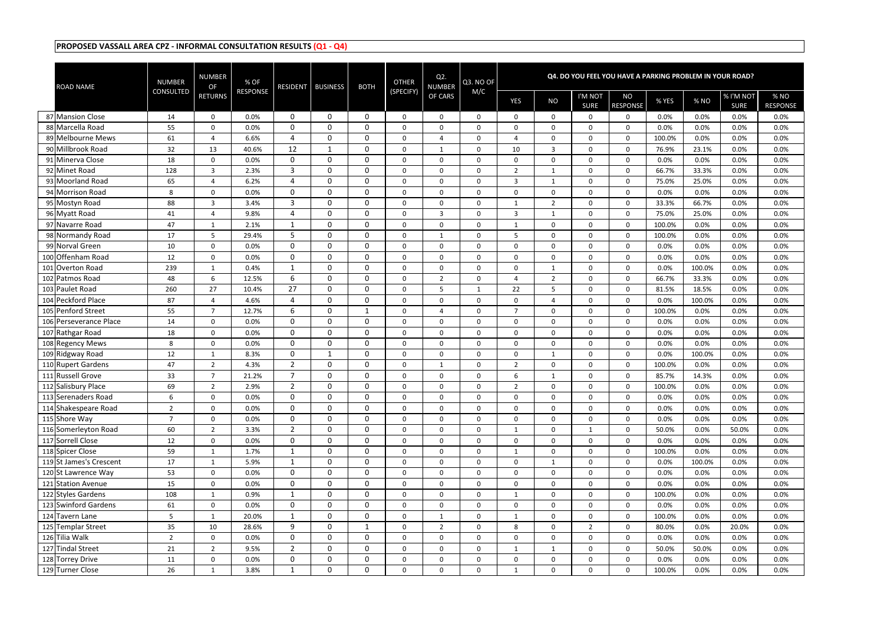| <b>ROAD NAME</b>                       | <b>NUMBER</b>    | NUMBER<br>OF                   | % OF            | <b>RESIDENT</b>            | <b>BUSINESS</b> | <b>BOTH</b>                | <b>OTHER</b>               | Q <sub>2</sub><br><b>NUMBER</b> | Q3. NO OF    |                                    |                  |                        | Q4. DO YOU FEEL YOU HAVE A PARKING PROBLEM IN YOUR ROAD? |              |              |                          |                         |
|----------------------------------------|------------------|--------------------------------|-----------------|----------------------------|-----------------|----------------------------|----------------------------|---------------------------------|--------------|------------------------------------|------------------|------------------------|----------------------------------------------------------|--------------|--------------|--------------------------|-------------------------|
|                                        | <b>CONSULTED</b> | <b>RETURNS</b>                 | <b>RESPONSE</b> |                            |                 |                            | (SPECIFY)                  | OF CARS                         | M/C          | YES                                | <b>NO</b>        | I'M NOT<br><b>SURE</b> | <b>NO</b><br><b>RESPONSE</b>                             | % YES        | % NO         | % I'M NOT<br><b>SURE</b> | % NO<br><b>RESPONSE</b> |
| 87 Mansion Close                       | 14               | 0                              | 0.0%            | $\Omega$                   | $\Omega$        | $\mathbf{0}$               | $\Omega$                   | $\Omega$                        | $\Omega$     | 0                                  | 0                | 0                      | $\Omega$                                                 | 0.0%         | 0.0%         | 0.0%                     | 0.0%                    |
| 88 Marcella Road                       | 55               | 0                              | 0.0%            | 0                          | $\mathbf{0}$    | 0                          | $\mathbf 0$                | $\Omega$                        | 0            | $\mathbf 0$                        | 0                | $\Omega$               | $\Omega$                                                 | 0.0%         | 0.0%         | 0.0%                     | 0.0%                    |
| 89 Melbourne Mews                      | 61               | 4                              | 6.6%            | 4                          | 0               | $\mathbf 0$                | $\mathbf 0$                | $\overline{4}$                  | 0            | $\overline{4}$                     | $\mathbf 0$      | 0                      | $\mathbf 0$                                              | 100.0%       | 0.0%         | 0.0%                     | 0.0%                    |
| 90 Millbrook Road                      | 32               | 13                             | 40.6%           | 12                         | 1               | $\mathbf 0$                | $\mathbf 0$                | 1                               | 0            | 10                                 | 3                | 0                      | $\mathbf 0$                                              | 76.9%        | 23.1%        | 0.0%                     | 0.0%                    |
| 91 Minerva Close                       | 18               | 0                              | 0.0%            | $\mathbf 0$                | $\mathbf 0$     | $\mathbf 0$                | $\mathbf 0$                | $\mathbf 0$                     | 0            | $\mathbf 0$                        | $\boldsymbol{0}$ | 0                      | $\mathbf 0$                                              | 0.0%         | 0.0%         | 0.0%                     | 0.0%                    |
| 92 Minet Road                          | 128              | 3                              | 2.3%            | $\overline{3}$             | 0               | $\mathbf 0$                | $\mathbf 0$                | $\mathbf 0$                     | 0            | $\overline{2}$                     | $\mathbf{1}$     | 0                      | $\Omega$                                                 | 66.7%        | 33.3%        | 0.0%                     | 0.0%                    |
| 93 Moorland Road                       | 65               | 4                              | 6.2%            | 4                          | 0               | $\mathbf{0}$               | $\Omega$                   | $\Omega$                        | $\Omega$     | $\overline{3}$                     | 1                | 0                      | $\Omega$                                                 | 75.0%        | 25.0%        | 0.0%                     | 0.0%                    |
| 94 Morrison Road                       | 8                | 0                              | 0.0%            | 0                          | 0               | 0                          | 0                          | $\mathbf 0$                     | $\Omega$     | $\mathbf 0$                        | 0                | 0                      | $\Omega$                                                 | 0.0%         | 0.0%         | 0.0%                     | 0.0%                    |
| 95 Mostyn Road                         | 88               | 3                              | 3.4%            | 3                          | 0               | $\mathbf 0$                | $\mathbf 0$                | $\mathbf 0$                     | 0            | $\mathbf{1}$                       | $\overline{2}$   | 0                      | $\mathbf 0$                                              | 33.3%        | 66.7%        | 0.0%                     | 0.0%                    |
| 96 Myatt Road                          | 41               | 4                              | 9.8%            | 4                          | 0               | 0                          | 0                          | 3                               | 0            | $\overline{3}$                     | 1                | 0                      | $\Omega$                                                 | 75.0%        | 25.0%        | 0.0%                     | 0.0%                    |
| 97 Navarre Road                        | 47               | $\mathbf{1}$                   | 2.1%            | $\mathbf{1}$               | $\mathbf 0$     | $\mathbf 0$                | $\mathbf 0$                | $\mathbf 0$                     | $\mathbf 0$  | 1                                  | $\boldsymbol{0}$ | $\overline{0}$         | $\Omega$                                                 | 100.0%       | 0.0%         | 0.0%                     | 0.0%                    |
| 98 Normandy Road                       | 17               | 5                              | 29.4%           | 5                          | 0               | $\mathbf 0$                | $\mathbf 0$                | 1                               | $\Omega$     | 5                                  | $\mathbf 0$      | $\Omega$               | $\Omega$                                                 | 100.0%       | 0.0%         | 0.0%                     | 0.0%                    |
| 99 Norval Green                        | 10               | 0                              | 0.0%            | 0                          | $\mathbf{0}$    | $\mathbf 0$                | $\Omega$                   | $\Omega$                        | $\Omega$     | $\mathbf{0}$                       | 0                | 0                      | $\Omega$                                                 | 0.0%         | 0.0%         | 0.0%                     | 0.0%                    |
| 100 Offenham Road                      | 12               | 0                              | 0.0%            | $\mathbf 0$                | 0               | $\mathbf 0$                | $\mathbf 0$                | $\Omega$                        | $\Omega$     | $\mathbf 0$                        | 0                | 0                      | $\Omega$                                                 | 0.0%         | 0.0%         | 0.0%                     | 0.0%                    |
| 101 Overton Road                       | 239              | 1                              | 0.4%            | 1                          | 0               | 0                          | $\mathbf 0$                | $\mathbf 0$                     | $\mathbf{0}$ | $\mathbf 0$                        | 1                | 0                      | $\mathbf 0$                                              | 0.0%         | 100.0%       | 0.0%                     | 0.0%                    |
| 102 Patmos Road                        | 48               | 6                              | 12.5%           | 6                          | 0               | $\mathbf 0$                | $\mathbf 0$                | $\overline{2}$                  | $\mathbf{0}$ | $\overline{4}$                     | $\overline{2}$   | 0                      | $\mathbf 0$                                              | 66.7%        | 33.3%        | 0.0%                     | 0.0%                    |
| 103 Paulet Road                        | 260              | 27                             | 10.4%           | 27                         | 0               | $\mathbf 0$                | $\mathbf 0$                | 5                               | 1            | 22                                 | 5                | 0                      | $\mathbf 0$                                              | 81.5%        | 18.5%        | 0.0%                     | 0.0%                    |
| 104 Peckford Place                     | 87               | 4                              | 4.6%            | 4                          | 0               | $\mathbf 0$                | $\mathbf 0$                | $\mathbf{0}$                    | $\Omega$     | $\mathbf 0$                        | 4                | $\Omega$               | $\Omega$                                                 | 0.0%         | 100.0%       | 0.0%                     | 0.0%                    |
| 105 Penford Street                     | 55               | $\overline{7}$                 | 12.7%           | 6                          | 0               | 1                          | $\mathbf 0$                | $\overline{a}$                  | $\Omega$     | $\overline{7}$                     | $\mathbf 0$      | 0                      | $\Omega$                                                 | 100.0%       | 0.0%         | 0.0%                     | 0.0%                    |
| 106 Perseverance Place                 | 14               | $\mathbf 0$                    | 0.0%            | $\Omega$                   | 0               | 0                          | $\Omega$                   | $\mathbf{0}$                    | $\Omega$     | $\overline{0}$                     | 0                | 0                      | $\Omega$                                                 | 0.0%         | 0.0%         | 0.0%                     | 0.0%                    |
| 107 Rathgar Road                       | 18               | $\mathbf 0$                    | 0.0%            | $\mathbf 0$<br>$\mathbf 0$ | 0<br>0          | $\mathbf 0$<br>$\mathbf 0$ | $\mathbf 0$                | $\mathbf 0$                     | 0            | $\mathbf 0$                        | $\mathbf 0$      | $\Omega$               | $\mathbf 0$                                              | 0.0%         | 0.0%<br>0.0% | 0.0%<br>0.0%             | 0.0%                    |
| 108 Regency Mews                       | 8                | 0                              | 0.0%            | $\mathbf{0}$               | 1               | $\mathbf 0$                | $\mathbf 0$<br>$\mathbf 0$ | $\mathbf 0$<br>$\mathbf 0$      | 0<br>0       | $\mathbf 0$                        | 0                | 0<br>0                 | $\mathbf 0$<br>$\mathbf 0$                               | 0.0%<br>0.0% | 100.0%       | 0.0%                     | 0.0%<br>0.0%            |
| 109 Ridgway Road<br>110 Rupert Gardens | 12<br>47         | $\mathbf{1}$<br>$\overline{2}$ | 8.3%<br>4.3%    | $\overline{2}$             | 0               | $\mathbf 0$                | $\mathbf 0$                | $\mathbf{1}$                    | 0            | $\boldsymbol{0}$<br>$\overline{2}$ | 1<br>0           | $\Omega$               | $\mathbf 0$                                              | 100.0%       | 0.0%         | 0.0%                     | 0.0%                    |
| 111 Russell Grove                      | 33               | $\overline{7}$                 | 21.2%           | $\overline{7}$             | $\mathbf 0$     | $\mathbf{0}$               | $\mathbf 0$                | $\Omega$                        | $\Omega$     | 6                                  | $\mathbf{1}$     | 0                      | $\Omega$                                                 | 85.7%        | 14.3%        | 0.0%                     | 0.0%                    |
| 112 Salisbury Place                    | 69               | $\overline{2}$                 | 2.9%            | $2^{\circ}$                | 0               | $\mathbf{0}$               | $\Omega$                   | $\Omega$                        | $\Omega$     | $\overline{2}$                     | $\mathbf 0$      | 0                      | $\mathbf 0$                                              | 100.0%       | 0.0%         | 0.0%                     | 0.0%                    |
| 113 Serenaders Road                    | 6                | 0                              | $0.0\%$         | $\mathbf 0$                | 0               | $\mathbf 0$                | $\mathbf 0$                | 0                               | 0            | $\bf{0}$                           | 0                | 0                      | -0                                                       | $0.0\%$      | 0.0%         | 0.0%                     | $0.0\%$                 |
| 114 Shakespeare Road                   | $2^{\circ}$      | $\mathbf 0$                    | 0.0%            | $\mathbf 0$                | 0               | $\mathbf 0$                | $\mathbf 0$                | $\mathbf 0$                     | $\mathbf 0$  | $\mathbf 0$                        | $\mathbf 0$      | $\mathbf 0$            | $\mathbf 0$                                              | 0.0%         | 0.0%         | 0.0%                     | 0.0%                    |
| 115 Shore Way                          | $\overline{7}$   | 0                              | 0.0%            | $\mathbf{0}$               | $\mathbf 0$     | $\pmb{0}$                  | $\mathbf 0$                | $\boldsymbol{0}$                | 0            | $\mathbf 0$                        | $\mathbf 0$      | 0                      | $\boldsymbol{0}$                                         | 0.0%         | 0.0%         | 0.0%                     | 0.0%                    |
| 116 Somerleyton Road                   | 60               | $2^{\circ}$                    | 3.3%            | $2^{\circ}$                | $\mathbf 0$     | $\mathbf 0$                | 0                          | $\boldsymbol{0}$                | 0            | $\mathbf{1}$                       | $\mathbf 0$      | $\mathbf{1}$           | $\boldsymbol{0}$                                         | 50.0%        | 0.0%         | 50.0%                    | 0.0%                    |
| 117 Sorrell Close                      | 12               | 0                              | 0.0%            | $\mathbf 0$                | $\mathbf 0$     | $\mathbf 0$                | $\mathbf 0$                | $\mathbf 0$                     | 0            | $\mathbf 0$                        | $\mathbf 0$      | 0                      | $\mathbf 0$                                              | 0.0%         | 0.0%         | 0.0%                     | 0.0%                    |
| 118 Spicer Close                       | 59               | $\mathbf{1}$                   | 1.7%            |                            | $\mathbf 0$     | $\mathbf 0$                | $\mathbf 0$                | $\mathbf 0$                     | 0            | 1                                  | $\boldsymbol{0}$ | 0                      | $\mathbf 0$                                              | 100.0%       | 0.0%         | 0.0%                     | 0.0%                    |
| 119 St James's Crescent                | 17               | $\mathbf{1}$                   | 5.9%            | 1                          | $\mathbf 0$     | $\mathbf 0$                | $\mathbf{0}$               | $\mathbf 0$                     | $\mathbf 0$  | $\mathbf 0$                        | $\mathbf{1}$     | 0                      | $\mathbf 0$                                              | 0.0%         | 100.0%       | 0.0%                     | 0.0%                    |
| 120 St Lawrence Way                    | 53               | 0                              | 0.0%            | $\mathbf 0$                | 0               | $\mathbf 0$                | $\mathbf 0$                | $\boldsymbol{0}$                | 0            | $\pmb{0}$                          | $\pmb{0}$        | 0                      | $\mathbf 0$                                              | 0.0%         | 0.0%         | 0.0%                     | 0.0%                    |
| 121 Station Avenue                     | 15               | $\mathbf 0$                    | 0.0%            | $\overline{0}$             | $\mathbf 0$     | $\mathbf 0$                | $\mathbf 0$                | $\boldsymbol{0}$                | 0            | $\mathbf 0$                        | $\mathbf 0$      | 0                      | $\mathbf 0$                                              | 0.0%         | 0.0%         | 0.0%                     | 0.0%                    |
| 122 Styles Gardens                     | 108              | $\mathbf{1}$                   | 0.9%            | $\mathbf{1}$               | $\mathbf 0$     | $\mathbf 0$                | $\mathbf 0$                | $\mathbf 0$                     | $\mathbf 0$  | $\mathbf{1}$                       | $\mathbf 0$      | $\mathbf 0$            | $\mathbf 0$                                              | 100.0%       | 0.0%         | 0.0%                     | 0.0%                    |
| 123 Swinford Gardens                   | 61               | 0                              | 0.0%            | $\mathbf 0$                | $\mathbf 0$     | $\mathbf 0$                | $\mathbf 0$                | $\mathbf 0$                     | 0            | $\mathbf 0$                        | $\mathbf 0$      | 0                      | $\mathbf 0$                                              | 0.0%         | 0.0%         | 0.0%                     | 0.0%                    |
| 124 Tavern Lane                        | 5 <sup>1</sup>   | $\mathbf{1}$                   | 20.0%           | $\mathbf 1$                | $\mathbf 0$     | $\mathbf 0$                | $\mathbf 0$                | 1                               | 0            | 1                                  | $\mathbf 0$      | 0                      | $\mathbf 0$                                              | 100.0%       | 0.0%         | 0.0%                     | 0.0%                    |
| 125 Templar Street                     | 35               | 10                             | 28.6%           | 9                          | $\mathbf 0$     | $\mathbf{1}$               | $\mathbf 0$                | $\overline{2}$                  | 0            | 8                                  | $\mathbf 0$      | $\overline{2}$         | 0                                                        | 80.0%        | 0.0%         | 20.0%                    | 0.0%                    |
| 126 Tilia Walk                         | $2^{\circ}$      | $\mathbf 0$                    | 0.0%            | $\mathbf 0$                | $\mathbf 0$     | $\mathbf 0$                | 0                          | $\boldsymbol{0}$                | $\mathbf 0$  | $\mathbf 0$                        | $\mathbf 0$      | 0                      | $\mathbf 0$                                              | 0.0%         | 0.0%         | 0.0%                     | 0.0%                    |
| 127 Tindal Street                      | 21               | $\overline{2}$                 | 9.5%            | $\overline{2}$             | $\bf{0}$        | $\mathbf 0$                | 0                          | $\mathbf 0$                     | 0            | $\mathbf{1}$                       | $\mathbf{1}$     | 0                      | 0                                                        | 50.0%        | 50.0%        | 0.0%                     | 0.0%                    |
| 128 Torrey Drive                       | 11               | $\mathbf 0$                    | 0.0%            | $\overline{0}$             | $\bf{0}$        | $\mathbf 0$                | 0                          | $\mathbf 0$                     | 0            | $\mathbf 0$                        | $\mathbf 0$      | 0                      | $\boldsymbol{0}$                                         | 0.0%         | 0.0%         | 0.0%                     | 0.0%                    |
| 129 Turner Close                       | 26               | $\mathbf{1}$                   | 3.8%            |                            | $\mathbf 0$     | $\pmb{0}$                  | $\mathbf 0$                | $\mathbf 0$                     | 0            | $\mathbf{1}$                       | $\mathbf 0$      | 0                      | $\mathbf 0$                                              | 100.0%       | 0.0%         | 0.0%                     | $0.0\%$                 |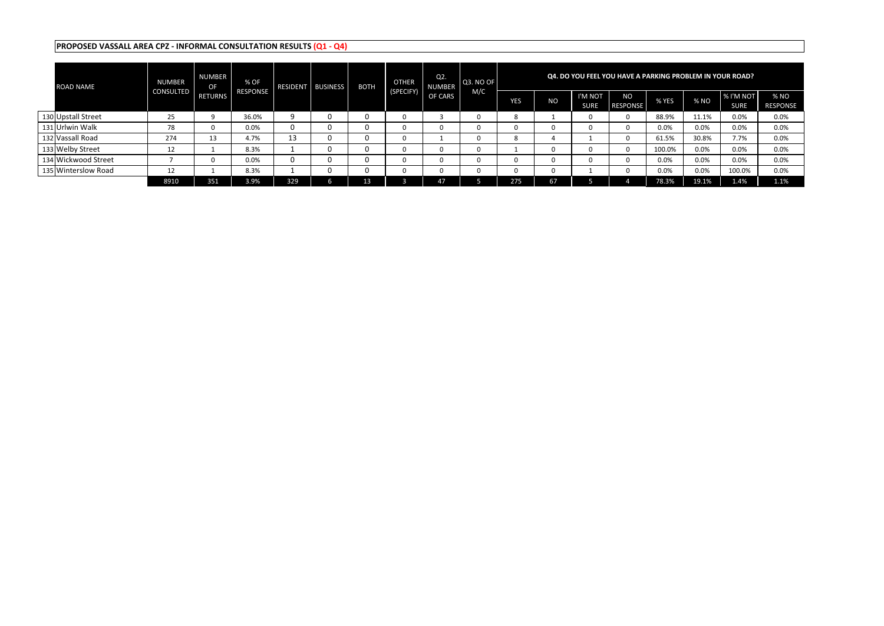| <b>ROAD NAME</b>    | <b>NUMBER</b> | <b>NUMBER</b><br>OF | % OF            |     | RESIDENT   BUSINESS | <b>BOTH</b> | <b>OTHER</b> | Q2.<br>NUMBER | Q3. NO OF |     |    |                        | Q4. DO YOU FEEL YOU HAVE A PARKING PROBLEM IN YOUR ROAD? |        |       |                                 |                         |
|---------------------|---------------|---------------------|-----------------|-----|---------------------|-------------|--------------|---------------|-----------|-----|----|------------------------|----------------------------------------------------------|--------|-------|---------------------------------|-------------------------|
|                     | CONSULTED     | RETURNS             | <b>RESPONSE</b> |     |                     |             | (SPECIFY)    | OF CARS       | M/C       | YES | NO | I'M NOT<br><b>SURE</b> | <b>NO</b><br><b>RESPONSE</b>                             | % YES  | % NO  | <b>% I'M NOT</b><br><b>SURE</b> | % NO<br><b>RESPONSE</b> |
| 130 Upstall Street  | 25            |                     | 36.0%           |     | 0                   |             |              |               |           |     |    |                        |                                                          | 88.9%  | 11.1% | 0.0%                            | 0.0%                    |
| 131 Urlwin Walk     | 78            |                     | 0.0%            | 0   | 0                   |             |              |               |           |     |    |                        | 0                                                        | 0.0%   | 0.0%  | 0.0%                            | 0.0%                    |
| 132 Vassall Road    | 274           | 13                  | 4.7%            | 13  | 0                   |             |              |               |           |     |    |                        | 0                                                        | 61.5%  | 30.8% | 7.7%                            | 0.0%                    |
| 133 Welby Street    | 12            |                     | 8.3%            |     | 0                   |             |              |               |           |     | υ  |                        | n                                                        | 100.0% | 0.0%  | 0.0%                            | 0.0%                    |
| 134 Wickwood Street |               |                     | 0.0%            | 0   | 0                   |             |              |               |           |     |    |                        |                                                          | 0.0%   | 0.0%  | 0.0%                            | 0.0%                    |
| 135 Winterslow Road | ᅶ             |                     | 8.3%            |     | 0                   |             |              |               |           |     |    |                        |                                                          | 0.0%   | 0.0%  | 100.0%                          | 0.0%                    |
|                     | 8910          | 351                 | 3.9%            | 329 |                     |             |              | דו            |           | 275 | 67 |                        |                                                          | 78.3%  | 19.1% | 1.4%                            | 1.1%                    |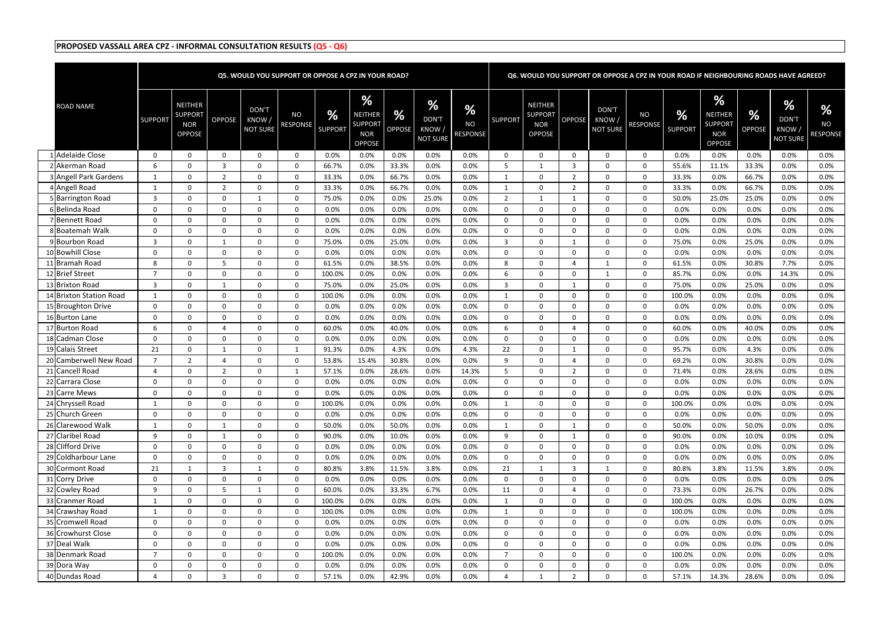|                                     |                |                                                                 |                            |                                    | <b>Q5. WOULD YOU SUPPORT OR OPPOSE A CPZ IN YOUR ROAD?</b> |                     |                                                                      |                                |                                               |                            |                |                                                                 |                  |                                           | Q6. WOULD YOU SUPPORT OR OPPOSE A CPZ IN YOUR ROAD IF NEIGHBOURING ROADS HAVE AGREED? |                     |                                                               |                    |                                          |                                               |
|-------------------------------------|----------------|-----------------------------------------------------------------|----------------------------|------------------------------------|------------------------------------------------------------|---------------------|----------------------------------------------------------------------|--------------------------------|-----------------------------------------------|----------------------------|----------------|-----------------------------------------------------------------|------------------|-------------------------------------------|---------------------------------------------------------------------------------------|---------------------|---------------------------------------------------------------|--------------------|------------------------------------------|-----------------------------------------------|
| <b>ROAD NAME</b>                    | <b>SUPPORT</b> | <b>NEITHER</b><br><b>SUPPORT</b><br><b>NOR</b><br><b>OPPOSE</b> | <b>OPPOSE</b>              | DON'T<br>KNOW /<br><b>NOT SURE</b> | NO<br><b>RESPONSE</b>                                      | %<br><b>SUPPORT</b> | <b>%</b><br>NEITHER<br><b>SUPPORT</b><br><b>NOR</b><br><b>OPPOSE</b> | $\frac{9}{6}$<br><b>OPPOSE</b> | %<br><b>DON'T</b><br>KNOW,<br><b>NOT SURE</b> | %<br><b>NO</b><br>RESPONSE | <b>SUPPORT</b> | <b>NEITHER</b><br><b>SUPPORT</b><br><b>NOR</b><br><b>OPPOSE</b> | <b>OPPOSE</b>    | <b>DON'T</b><br>KNOW /<br><b>NOT SURE</b> | <b>NO</b><br><b>RESPONSE</b>                                                          | %<br><b>SUPPORT</b> | %<br>NEITHER<br><b>SUPPORT</b><br><b>NOR</b><br><b>OPPOSE</b> | %<br><b>OPPOSE</b> | $\%$<br>DON'T<br>KNOW<br><b>NOT SURE</b> | $\frac{9}{6}$<br><b>NO</b><br><b>RESPONSE</b> |
| 1 Adelaide Close                    | $\Omega$       | $\Omega$                                                        | $\Omega$                   | $\Omega$                           | $\Omega$                                                   | 0.0%                | 0.0%                                                                 | 0.0%                           | 0.0%                                          | 0.0%                       | $\Omega$       | $\Omega$                                                        | $\Omega$         | $\Omega$                                  | $\mathbf{0}$                                                                          | 0.0%                | 0.0%                                                          | 0.0%               | 0.0%                                     | 0.0%                                          |
| 2 Akerman Road                      | 6              | $\Omega$                                                        | $\overline{3}$             | $\mathbf 0$                        | $\Omega$                                                   | 66.7%               | 0.0%                                                                 | 33.3%                          | 0.0%                                          | 0.0%                       | -5             | -1                                                              | -3               | $\Omega$                                  | $\mathbf 0$                                                                           | 55.6%               | 11.1%                                                         | 33.3%              | 0.0%                                     | 0.0%                                          |
| 3 Angell Park Gardens               |                | 0                                                               | $\overline{2}$             | $\Omega$                           | $\mathbf 0$                                                | 33.3%               | 0.0%                                                                 | 66.7%                          | 0.0%                                          | 0.0%                       |                | $\Omega$                                                        | $\overline{2}$   | $\Omega$                                  | 0                                                                                     | 33.3%               | 0.0%                                                          | 66.7%              | 0.0%                                     | 0.0%                                          |
| 4 Angell Road                       |                | 0                                                               | $\overline{2}$             | $\Omega$                           | $\Omega$                                                   | 33.3%               | 0.0%                                                                 | 66.7%                          | 0.0%                                          | 0.0%                       |                | $\Omega$                                                        | $\overline{2}$   | $\Omega$                                  | 0                                                                                     | 33.3%               | 0.0%                                                          | 66.7%              | 0.0%                                     | 0.0%                                          |
| 5 Barrington Road                   | 3              | $\Omega$                                                        | $\Omega$                   | $\mathbf{1}$                       | $\overline{0}$                                             | 75.0%               | 0.0%                                                                 | 0.0%                           | 25.0%                                         | 0.0%                       | $\overline{2}$ | -1                                                              |                  | $\Omega$                                  | 0                                                                                     | 50.0%               | 25.0%                                                         | 25.0%              | 0.0%                                     | 0.0%                                          |
| 6 Belinda Road                      | $\Omega$       | 0                                                               | $\Omega$                   | 0                                  | $\Omega$                                                   | 0.0%                | 0.0%                                                                 | 0.0%                           | 0.0%                                          | 0.0%                       | $\Omega$       | $\Omega$                                                        | $\Omega$         | $\Omega$                                  | 0                                                                                     | 0.0%                | 0.0%                                                          | 0.0%               | 0.0%                                     | 0.0%                                          |
| 7 Bennett Road                      | ∩              | $\Omega$                                                        | $\Omega$                   | $\Omega$                           | $\Omega$                                                   | 0.0%                | 0.0%                                                                 | 0.0%                           | 0.0%                                          | 0.0%                       | $\Omega$       | $\Omega$                                                        | - 0              | $\Omega$                                  | $\mathbf 0$                                                                           | 0.0%                | 0.0%                                                          | 0.0%               | 0.0%                                     | 0.0%                                          |
| 8 Boatemah Walk                     | $\Omega$       | $\Omega$                                                        | $\Omega$                   | $\Omega$                           | $\Omega$                                                   | 0.0%                | 0.0%                                                                 | 0.0%                           | 0.0%                                          | 0.0%                       | $\Omega$       | $\Omega$                                                        | $\Omega$         | $\Omega$                                  | 0                                                                                     | 0.0%                | 0.0%                                                          | 0.0%               | 0.0%                                     | 0.0%                                          |
| 9 Bourbon Road                      | 3              | $\Omega$                                                        | $\overline{1}$             | 0                                  | $\Omega$                                                   | 75.0%               | 0.0%                                                                 | 25.0%                          | 0.0%                                          | 0.0%                       | 3              | $\Omega$                                                        |                  | 0                                         | 0                                                                                     | 75.0%               | 0.0%                                                          | 25.0%              | 0.0%                                     | 0.0%                                          |
| 10 Bowhill Close                    | 0              | 0                                                               | $\overline{0}$             | $\Omega$                           | $\Omega$                                                   | 0.0%                | 0.0%                                                                 | 0.0%                           | 0.0%                                          | 0.0%                       | $\Omega$       | $\Omega$                                                        | $\Omega$         | 0                                         | 0                                                                                     | 0.0%                | 0.0%                                                          | 0.0%               | 0.0%                                     | 0.0%                                          |
| 11 Bramah Road                      | 8              | 0                                                               | .5                         | $\mathbf 0$                        | $\overline{0}$                                             | 61.5%               | 0.0%                                                                 | 38.5%                          | 0.0%                                          | 0.0%                       | 8              | $\Omega$                                                        |                  | -1                                        | 0                                                                                     | 61.5%               | 0.0%                                                          | 30.8%              | 7.7%                                     | 0.0%                                          |
| 12 Brief Street                     | $\overline{7}$ | $\Omega$                                                        | $\Omega$                   | $\mathbf 0$                        | $\overline{0}$                                             | 100.0%              | 0.0%                                                                 | 0.0%                           | 0.0%                                          | 0.0%                       | -6             | $\Omega$                                                        | $\Omega$         | -1                                        | $\mathbf 0$                                                                           | 85.7%               | 0.0%                                                          | 0.0%               | 14.3%                                    | 0.0%                                          |
| 13 Brixton Road                     | 3              | 0                                                               | $\overline{1}$             | $\Omega$                           | $\Omega$                                                   | 75.0%               | 0.0%                                                                 | 25.0%                          | 0.0%                                          | 0.0%                       | 3              | $\Omega$                                                        |                  | $\Omega$                                  | 0                                                                                     | 75.0%               | 0.0%                                                          | 25.0%              | 0.0%                                     | 0.0%                                          |
| 14 Brixton Station Road             |                | $\Omega$                                                        | $\Omega$                   | $\Omega$                           | $\Omega$                                                   | 100.0%              | 0.0%                                                                 | 0.0%                           | 0.0%                                          | 0.0%                       | $\mathbf{1}$   | $\Omega$                                                        | $\Omega$         | $\Omega$                                  | 0                                                                                     | 100.0%              | 0.0%                                                          | 0.0%               | 0.0%                                     | 0.0%                                          |
| 15 Broughton Drive                  | 0              | $\Omega$                                                        | $\Omega$                   | 0                                  | $\Omega$                                                   | 0.0%                | 0.0%                                                                 | 0.0%                           | 0.0%                                          | 0.0%                       | $\Omega$       | $\Omega$                                                        | $\Omega$         | $\Omega$                                  | $\mathbf{0}$                                                                          | 0.0%                | 0.0%                                                          | 0.0%               | 0.0%                                     | 0.0%                                          |
| 16 Burton Lane                      | $\Omega$       | $\Omega$                                                        | $\Omega$                   | 0                                  | $\Omega$                                                   | 0.0%                | 0.0%                                                                 | 0.0%                           | 0.0%                                          | 0.0%                       | $\Omega$       | $\Omega$                                                        | $\Omega$         | $\Omega$                                  | 0                                                                                     | 0.0%                | 0.0%                                                          | 0.0%               | 0.0%                                     | 0.0%                                          |
| 17 Burton Road                      | 6              | 0                                                               | $\overline{4}$             | $\mathbf 0$                        | $\overline{0}$                                             | 60.0%               | 0.0%                                                                 | 40.0%                          | 0.0%                                          | 0.0%                       | 6              | $\Omega$                                                        |                  | $\Omega$                                  | 0                                                                                     | 60.0%               | 0.0%                                                          | 40.0%              | 0.0%                                     | 0.0%                                          |
| 18 Cadman Close                     | $\Omega$       | $\Omega$                                                        | $\Omega$                   | $\mathbf 0$                        | $\Omega$                                                   | 0.0%                | 0.0%                                                                 | 0.0%                           | 0.0%                                          | 0.0%                       | $\Omega$       | $\Omega$                                                        | $\Omega$         | $\Omega$                                  | 0                                                                                     | 0.0%                | 0.0%                                                          | 0.0%               | 0.0%                                     | 0.0%                                          |
| 19 Calais Street                    | 21<br>7        | $\Omega$                                                        | $\overline{1}$             | $\Omega$                           | $\overline{1}$                                             | 91.3%               | 0.0%                                                                 | 4.3%                           | 0.0%                                          | 4.3%                       | 22             | $\Omega$                                                        |                  | $\Omega$                                  | $\mathbf{0}$                                                                          | 95.7%               | 0.0%                                                          | 4.3%               | 0.0%                                     | 0.0%                                          |
| 20 Camberwell New Road              |                | $\overline{2}$                                                  | $\overline{4}$             | $\Omega$                           | $\Omega$                                                   | 53.8%               | 15.4%                                                                | 30.8%                          | 0.0%                                          | 0.0%                       | q              | $\Omega$                                                        |                  | $\Omega$                                  | 0                                                                                     | 69.2%               | 0.0%                                                          | 30.8%              | 0.0%                                     | 0.0%                                          |
| 21 Cancell Road<br>22 Carrara Close | Δ<br>$\Omega$  | $\Omega$<br>0                                                   | $\overline{2}$<br>$\Omega$ | $\mathbf 0$<br>$\Omega$            | 1<br>$\Omega$                                              | 57.1%               | 0.0%                                                                 | 28.6%                          | 0.0%                                          | 14.3%<br>0.0%              | -5<br>$\Omega$ | $\Omega$<br>$\Omega$                                            | -2<br>$\Omega$   | $\Omega$<br>$\Omega$                      | 0                                                                                     | 71.4%               | 0.0%<br>0.0%                                                  | 28.6%<br>0.0%      | 0.0%<br>0.0%                             | 0.0%                                          |
| 23 Carre Mews                       | $\Omega$       | 0                                                               | $\Omega$                   | $\Omega$                           | $\Omega$                                                   | 0.0%<br>0.0%        | 0.0%<br>0.0%                                                         | 0.0%<br>0.0%                   | 0.0%<br>0.0%                                  | $0.0\%$                    | $\Omega$       | $\Omega$                                                        | $\Omega$         | $\Omega$                                  | $\mathbf 0$<br>$\Omega$                                                               | 0.0%                | 0.0%                                                          |                    | 0.0%                                     | 0.0%<br>0.0%                                  |
| 24 Chryssell Road                   | -1             | $\mathbf 0$                                                     | $\mathbf 0$                | $\mathbf 0$                        | $\mathbf 0$                                                | 100.0%              | 0.0%                                                                 | 0.0%                           | 0.0%                                          | 0.0%                       | 1              | $\Omega$                                                        | $\Omega$         | $\Omega$                                  | $\mathbf{0}$                                                                          | 0.0%<br>100.0%      | 0.0%                                                          | 0.0%<br>0.0%       | 0.0%                                     | 0.0%                                          |
| 25 Church Green                     | $\Omega$       | $\mathbf 0$                                                     | $\mathbf 0$                | $\mathbf 0$                        | $\mathbf 0$                                                | 0.0%                | 0.0%                                                                 | 0.0%                           | 0.0%                                          | 0.0%                       | $\Omega$       | $\Omega$                                                        | $\Omega$         | $\Omega$                                  | 0                                                                                     | 0.0%                | 0.0%                                                          | 0.0%               | 0.0%                                     | $0.0\%$                                       |
| 26 Clarewood Walk                   | - 1            | $\mathbf{0}$                                                    | 1                          | 0                                  | $\mathbf{0}$                                               | 50.0%               | 0.0%                                                                 | 50.0%                          | 0.0%                                          | 0.0%                       | 1              | $\Omega$                                                        | 1                | $\overline{0}$                            | 0                                                                                     | 50.0%               | 0.0%                                                          | 50.0%              | 0.0%                                     | 0.0%                                          |
| 27 Claribel Road                    | 9              | $\mathbf 0$                                                     | 1                          | 0                                  | $\mathbf 0$                                                | 90.0%               | 0.0%                                                                 | 10.0%                          | 0.0%                                          | 0.0%                       | 9              | $\mathbf 0$                                                     | 1                | $\mathbf{0}$                              | $\boldsymbol{0}$                                                                      | 90.0%               | 0.0%                                                          | 10.0%              | 0.0%                                     | 0.0%                                          |
| 28 Clifford Drive                   | $\Omega$       | $\mathbf 0$                                                     | 0                          | $\mathbf 0$                        | $\mathbf{0}$                                               | 0.0%                | 0.0%                                                                 | 0.0%                           | 0.0%                                          | 0.0%                       | $\mathbf 0$    | $\Omega$                                                        | $\mathbf 0$      | $\mathbf{0}$                              | $\boldsymbol{0}$                                                                      | 0.0%                | 0.0%                                                          | 0.0%               | 0.0%                                     | 0.0%                                          |
| 29 Coldharbour Lane                 | $\Omega$       | $\mathbf 0$                                                     | $\mathbf 0$                | $\mathbf 0$                        | $\overline{0}$                                             | 0.0%                | 0.0%                                                                 | 0.0%                           | 0.0%                                          | 0.0%                       | $\mathbf 0$    | $\mathbf 0$                                                     | $\boldsymbol{0}$ | $\mathbf{0}$                              | $\boldsymbol{0}$                                                                      | 0.0%                | 0.0%                                                          | 0.0%               | 0.0%                                     | 0.0%                                          |
| 30 Cormont Road                     | 21             |                                                                 | $\overline{3}$             | 1                                  | $\mathbf{0}$                                               | 80.8%               | 3.8%                                                                 | 11.5%                          | 3.8%                                          | 0.0%                       | 21             | 1                                                               | $\overline{3}$   | 1                                         | $\mathbf 0$                                                                           | 80.8%               | 3.8%                                                          | 11.5%              | 3.8%                                     | 0.0%                                          |
| 31 Corry Drive                      | $\Omega$       | $\mathbf 0$                                                     | $\mathbf 0$                | $\mathbf 0$                        | $\mathbf{0}$                                               | 0.0%                | 0.0%                                                                 | 0.0%                           | 0.0%                                          | 0.0%                       | $\Omega$       | $\Omega$                                                        | $\Omega$         | $\mathbf{0}$                              | $\mathbf 0$                                                                           | 0.0%                | 0.0%                                                          | 0.0%               | 0.0%                                     | $0.0\%$                                       |
| 32 Cowley Road                      | 9              | $\mathbf{0}$                                                    | 5                          | $\mathbf 1$                        | $\mathbf 0$                                                | 60.0%               | 0.0%                                                                 | 33.3%                          | 6.7%                                          | 0.0%                       | 11             | $\Omega$                                                        | $\overline{4}$   | $\mathbf{0}$                              | $\boldsymbol{0}$                                                                      | 73.3%               | 0.0%                                                          | 26.7%              | 0.0%                                     | 0.0%                                          |
| 33 Cranmer Road                     |                | $\mathbf{0}$                                                    | 0                          | 0                                  | $\mathbf{0}$                                               | 100.0%              | 0.0%                                                                 | 0.0%                           | 0.0%                                          | 0.0%                       | 1              | 0                                                               | $\mathbf 0$      | $\mathbf{0}$                              | $\boldsymbol{0}$                                                                      | 100.0%              | 0.0%                                                          | 0.0%               | 0.0%                                     | 0.0%                                          |
| 34 Crawshay Road                    | -1             | 0                                                               | $\mathbf 0$                | $\mathbf 0$                        | $\mathbf 0$                                                | 100.0%              | 0.0%                                                                 | 0.0%                           | 0.0%                                          | 0.0%                       | 1              | $\mathbf 0$                                                     | $\mathbf 0$      | $\mathbf{0}$                              | $\mathbf 0$                                                                           | 100.0%              | 0.0%                                                          | 0.0%               | 0.0%                                     | 0.0%                                          |
| 35 Cromwell Road                    | 0              | $\mathbf{0}$                                                    | $\mathbf 0$                | 0                                  | $\mathbf{0}$                                               | 0.0%                | 0.0%                                                                 | 0.0%                           | 0.0%                                          | 0.0%                       | 0              | 0                                                               | $\mathbf 0$      | $\mathbf{0}$                              | $\boldsymbol{0}$                                                                      | $0.0\%$             | 0.0%                                                          | 0.0%               | 0.0%                                     | 0.0%                                          |
| 36 Crowhurst Close                  | 0              | 0                                                               | $\mathbf{0}$               | $\mathbf 0$                        | $\mathbf{0}$                                               | 0.0%                | 0.0%                                                                 | 0.0%                           | 0.0%                                          | 0.0%                       | $\mathbf 0$    | $\mathbf 0$                                                     | $\boldsymbol{0}$ | 0                                         | $\mathbf 0$                                                                           | 0.0%                | 0.0%                                                          | 0.0%               | 0.0%                                     | 0.0%                                          |
| 37 Deal Walk                        | $\Omega$       | $\mathbf 0$                                                     | $\mathbf 0$                | 0                                  | $\mathbf{0}$                                               | 0.0%                | 0.0%                                                                 | 0.0%                           | 0.0%                                          | 0.0%                       | $\mathbf{0}$   | $\mathbf 0$                                                     | $\mathbf 0$      | $\mathbf{0}$                              | $\mathbf 0$                                                                           | 0.0%                | 0.0%                                                          | 0.0%               | 0.0%                                     | $0.0\%$                                       |
| 38 Denmark Road                     | 7              | $\mathbf{0}$                                                    | $\mathbf{0}$               | 0                                  | $\mathbf{0}$                                               | 100.0%              | 0.0%                                                                 | 0.0%                           | 0.0%                                          | 0.0%                       | $\overline{7}$ | $\Omega$                                                        | $\mathbf 0$      | $\mathbf{0}$                              | $\mathbf 0$                                                                           | 100.0%              | 0.0%                                                          | 0.0%               | 0.0%                                     | $0.0\%$                                       |
| 39 Dora Way                         | 0              | 0                                                               | 0                          | 0                                  | 0                                                          | 0.0%                | 0.0%                                                                 | 0.0%                           | 0.0%                                          | 0.0%                       | $\mathbf 0$    | 0                                                               | $\mathbf 0$      | $\mathbf{0}$                              | $\boldsymbol{0}$                                                                      | 0.0%                | 0.0%                                                          | 0.0%               | 0.0%                                     | 0.0%                                          |
| 40 Dundas Road                      | 4              | 0                                                               | $\overline{3}$             | $\overline{0}$                     | $\mathbf{0}$                                               | 57.1%               | 0.0%                                                                 | 42.9%                          | 0.0%                                          | 0.0%                       | 4              | 1                                                               | $\overline{2}$   | $\mathbf{0}$                              | $\mathbf 0$                                                                           | 57.1%               | 14.3%                                                         | 28.6%              | 0.0%                                     | 0.0%                                          |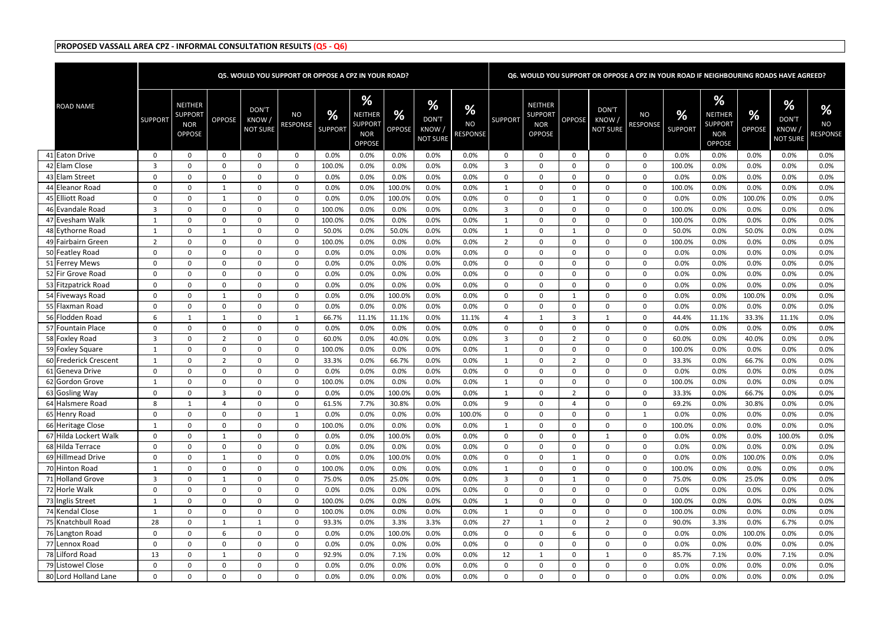|                       |                |                                                                 |                  |                                   | Q5. WOULD YOU SUPPORT OR OPPOSE A CPZ IN YOUR ROAD? |                     |                                                               |                                |                                                          |                            |                |                                                                 |                |                                   | Q6. WOULD YOU SUPPORT OR OPPOSE A CPZ IN YOUR ROAD IF NEIGHBOURING ROADS HAVE AGREED? |                     |                                                                      |                    |                                       |                                   |
|-----------------------|----------------|-----------------------------------------------------------------|------------------|-----------------------------------|-----------------------------------------------------|---------------------|---------------------------------------------------------------|--------------------------------|----------------------------------------------------------|----------------------------|----------------|-----------------------------------------------------------------|----------------|-----------------------------------|---------------------------------------------------------------------------------------|---------------------|----------------------------------------------------------------------|--------------------|---------------------------------------|-----------------------------------|
| <b>ROAD NAME</b>      | <b>SUPPORT</b> | <b>NEITHER</b><br><b>SUPPORT</b><br><b>NOR</b><br><b>OPPOSE</b> | OPPOSE           | DON'T<br>KNOW/<br><b>NOT SURE</b> | <b>NO</b><br><b>RESPONSE</b>                        | %<br><b>SUPPORT</b> | %<br>NEITHER<br><b>SUPPORT</b><br><b>NOR</b><br><b>OPPOSE</b> | $\frac{9}{6}$<br><b>OPPOSE</b> | $\frac{9}{6}$<br><b>DON'T</b><br>KNOW<br><b>NOT SURE</b> | %<br><b>NO</b><br>RESPONSE | <b>SUPPORT</b> | <b>NEITHER</b><br><b>SUPPORT</b><br><b>NOR</b><br><b>OPPOSE</b> | <b>OPPOSE</b>  | DON'T<br>KNOW,<br><b>NOT SURE</b> | <b>NO</b><br><b>RESPONSE</b>                                                          | %<br><b>SUPPORT</b> | %<br><b>NEITHER</b><br><b>SUPPORT</b><br><b>NOR</b><br><b>OPPOSE</b> | %<br><b>OPPOSE</b> | %<br>DON'T<br>KNOW<br><b>NOT SURE</b> | %<br><b>NO</b><br><b>RESPONSE</b> |
| 41 Eaton Drive        | $\mathbf{0}$   | $\Omega$                                                        | $\overline{0}$   | $\overline{0}$                    | $\Omega$                                            | 0.0%                | 0.0%                                                          | 0.0%                           | 0.0%                                                     | 0.0%                       | $\Omega$       | $\Omega$                                                        | $\Omega$       | $\Omega$                          | $\mathbf{0}$                                                                          | 0.0%                | 0.0%                                                                 | 0.0%               | 0.0%                                  | 0.0%                              |
| 42 Elam Close         | 3              | 0                                                               | 0                | $\mathbf 0$                       | 0                                                   | 100.0%              | 0.0%                                                          | 0.0%                           | 0.0%                                                     | 0.0%                       | 3              | 0                                                               | $\overline{0}$ | 0                                 | 0                                                                                     | 100.0%              | 0.0%                                                                 | 0.0%               | 0.0%                                  | 0.0%                              |
| 43 Elam Street        | $\mathbf{0}$   | 0                                                               | $\mathbf 0$      | $\mathbf 0$                       | $\overline{0}$                                      | 0.0%                | 0.0%                                                          | 0.0%                           | 0.0%                                                     | 0.0%                       | $\Omega$       | $\Omega$                                                        | $\Omega$       | $\Omega$                          | 0                                                                                     | 0.0%                | 0.0%                                                                 | 0.0%               | 0.0%                                  | 0.0%                              |
| 44 Eleanor Road       | $\mathbf{0}$   | 0                                                               | 1                | 0                                 | 0                                                   | 0.0%                | 0.0%                                                          | 100.0%                         | 0.0%                                                     | 0.0%                       |                | $\Omega$                                                        | $\Omega$       | $\Omega$                          | 0                                                                                     | 100.0%              | 0.0%                                                                 | 0.0%               | 0.0%                                  | 0.0%                              |
| 45 Elliott Road       | $\Omega$       | 0                                                               | 1                | $\mathbf 0$                       | $\Omega$                                            | 0.0%                | 0.0%                                                          | 100.0%                         | 0.0%                                                     | 0.0%                       | $\Omega$       | $\Omega$                                                        | -1             | $\Omega$                          | 0                                                                                     | 0.0%                | 0.0%                                                                 | 100.0%             | 0.0%                                  | 0.0%                              |
| 46 Evandale Road      | 3              | 0                                                               | $\Omega$         | 0                                 | $\Omega$                                            | 100.0%              | 0.0%                                                          | 0.0%                           | 0.0%                                                     | 0.0%                       | 3              | - 0                                                             | $\Omega$       | $\Omega$                          | $\mathbf{0}$                                                                          | 100.0%              | 0.0%                                                                 | 0.0%               | 0.0%                                  | 0.0%                              |
| 47 Evesham Walk       |                | 0                                                               | $\Omega$         | $\Omega$                          | $\Omega$                                            | 100.0%              | 0.0%                                                          | 0.0%                           | 0.0%                                                     | 0.0%                       |                | - 0                                                             | $\Omega$       | $\Omega$                          | 0                                                                                     | 100.0%              | 0.0%                                                                 | 0.0%               | 0.0%                                  | 0.0%                              |
| 48 Eythorne Road      |                | 0                                                               | -1               | $\mathbf 0$                       | $\Omega$                                            | 50.0%               | 0.0%                                                          | 50.0%                          | 0.0%                                                     | 0.0%                       | $\mathbf{1}$   | $\Omega$                                                        |                | $\Omega$                          | $\boldsymbol{0}$                                                                      | 50.0%               | 0.0%                                                                 | 50.0%              | 0.0%                                  | 0.0%                              |
| 49 Fairbairn Green    | 2              | 0                                                               | $\overline{0}$   | 0                                 | 0                                                   | 100.0%              | 0.0%                                                          | 0.0%                           | 0.0%                                                     | 0.0%                       | 2              | $\Omega$                                                        | $\Omega$       | $\Omega$                          | 0                                                                                     | 100.0%              | 0.0%                                                                 | 0.0%               | 0.0%                                  | 0.0%                              |
| 50 Featley Road       | $\mathbf{0}$   | 0                                                               | $\mathbf 0$      | 0                                 | $\Omega$                                            | 0.0%                | 0.0%                                                          | 0.0%                           | 0.0%                                                     | 0.0%                       | $\Omega$       | $\Omega$                                                        | $\Omega$       | $\Omega$                          | 0                                                                                     | 0.0%                | 0.0%                                                                 | 0.0%               | 0.0%                                  | 0.0%                              |
| 51 Ferrey Mews        | $\mathbf{0}$   | 0                                                               | $\mathbf 0$      | 0                                 | 0                                                   | 0.0%                | 0.0%                                                          | 0.0%                           | 0.0%                                                     | 0.0%                       | $\Omega$       | $\mathbf 0$                                                     | $\Omega$       | $\Omega$                          | 0                                                                                     | 0.0%                | 0.0%                                                                 | 0.0%               | 0.0%                                  | 0.0%                              |
| 52 Fir Grove Road     | $\Omega$       | 0                                                               | $\Omega$         | 0                                 | $\Omega$                                            | 0.0%                | 0.0%                                                          | 0.0%                           | 0.0%                                                     | 0.0%                       | $\Omega$       | $\Omega$                                                        | $\Omega$       | $\Omega$                          | 0                                                                                     | 0.0%                | 0.0%                                                                 | 0.0%               | 0.0%                                  | 0.0%                              |
| 53 Fitzpatrick Road   | $\Omega$       | 0                                                               | $\Omega$         | 0                                 | $\Omega$                                            | 0.0%                | 0.0%                                                          | 0.0%                           | 0.0%                                                     | 0.0%                       | $\Omega$       | - 0                                                             | $\Omega$       | $\Omega$                          | $\mathbf{0}$                                                                          | 0.0%                | 0.0%                                                                 | 0.0%               | 0.0%                                  | 0.0%                              |
| 54 Fiveways Road      | $\mathbf{0}$   | 0                                                               | $\overline{1}$   | $\Omega$                          | $\Omega$                                            | 0.0%                | 0.0%                                                          | 100.0%                         | 0.0%                                                     | 0.0%                       | $\Omega$       | - 0                                                             |                | $\Omega$                          | 0                                                                                     | 0.0%                | 0.0%                                                                 | 100.0%             | 0.0%                                  | 0.0%                              |
| 55 Flaxman Road       | $\mathbf{0}$   | 0                                                               | $\overline{0}$   | 0                                 | $\mathbf{0}$                                        | 0.0%                | 0.0%                                                          | 0.0%                           | 0.0%                                                     | 0.0%                       | $\Omega$       | $\Omega$                                                        | $\Omega$       | $\Omega$                          | 0                                                                                     | 0.0%                | 0.0%                                                                 | 0.0%               | 0.0%                                  | 0.0%                              |
| 56 Flodden Road       | 6              |                                                                 | 1                | 0                                 | 1                                                   | 66.7%               | 11.1%                                                         | 11.1%                          | 0.0%                                                     | 11.1%                      | 4              | -1                                                              | 3              | -1                                | 0                                                                                     | 44.4%               | 11.1%                                                                | 33.3%              | 11.1%                                 | 0.0%                              |
| 57 Fountain Place     | $\Omega$       | 0                                                               | $\mathbf 0$      | 0                                 | $\mathbf{0}$                                        | 0.0%                | 0.0%                                                          | 0.0%                           | 0.0%                                                     | 0.0%                       | $\Omega$       | $\Omega$                                                        | $\Omega$       | $\Omega$                          | 0                                                                                     | 0.0%                | 0.0%                                                                 | 0.0%               | 0.0%                                  | 0.0%                              |
| 58 Foxley Road        | 3              | 0                                                               | 2                | $\mathbf 0$                       | $\Omega$                                            | 60.0%               | 0.0%                                                          | 40.0%                          | 0.0%                                                     | 0.0%                       | 3              | $\Omega$                                                        | $\overline{2}$ | $\Omega$                          | 0                                                                                     | 60.0%               | 0.0%                                                                 | 40.0%              | 0.0%                                  | 0.0%                              |
| 59 Foxley Square      | -1             | 0                                                               | $\Omega$         | $\Omega$                          | $\Omega$                                            | 100.0%              | 0.0%                                                          | 0.0%                           | 0.0%                                                     | 0.0%                       | $\mathbf{1}$   | - 0                                                             | $\Omega$       | $\Omega$                          | 0                                                                                     | 100.0%              | 0.0%                                                                 | 0.0%               | 0.0%                                  | 0.0%                              |
| 60 Frederick Crescent |                | 0                                                               | $\overline{2}$   | $\mathbf 0$                       | $\mathbf 0$                                         | 33.3%               | 0.0%                                                          | 66.7%                          | 0.0%                                                     | 0.0%                       | 1              | $\Omega$                                                        | $\overline{2}$ | $\Omega$                          | 0                                                                                     | 33.3%               | 0.0%                                                                 | 66.7%              | 0.0%                                  | 0.0%                              |
| 61 Geneva Drive       | $\mathbf{0}$   | 0                                                               | 0                | 0                                 | $\mathbf{0}$                                        | 0.0%                | 0.0%                                                          | 0.0%                           | 0.0%                                                     | 0.0%                       | $\mathbf{0}$   | 0                                                               | $\overline{0}$ | 0                                 | 0                                                                                     | 0.0%                | 0.0%                                                                 | 0.0%               | 0.0%                                  | 0.0%                              |
| 62 Gordon Grove       |                | 0                                                               | $\Omega$         | 0                                 | $\Omega$                                            | 100.0%              | 0.0%                                                          | 0.0%                           | 0.0%                                                     | 0.0%                       |                | - 0                                                             | $\Omega$       | $\Omega$                          | 0                                                                                     | 100.0%              | 0.0%                                                                 | 0.0%               | 0.0%                                  | 0.0%                              |
| 63 Gosling Way        | $\Omega$       | 0                                                               | 3                | $\Omega$                          | O                                                   | 0.0%                | 0.0%                                                          | 100.0%                         | 0.0%                                                     | 0.0%                       |                | - 0                                                             | $\overline{z}$ | $\Omega$                          | $\mathbf{0}$                                                                          | 33.3%               | 0.0%                                                                 | 66.7%              | 0.0%                                  | 0.0%                              |
| 64 Halsmere Road      | 8              | $\mathbf{1}$                                                    | $\overline{4}$   | $\mathbf{0}$                      | $\mathbf{0}$                                        | 61.5%               | 7.7%                                                          | 30.8%                          | 0.0%                                                     | 0.0%                       | 9              | $\Omega$                                                        | $\overline{4}$ | $\Omega$                          | 0                                                                                     | 69.2%               | 0.0%                                                                 | 30.8%              | 0.0%                                  | 0.0%                              |
| 65 Henry Road         | $\Omega$       | 0                                                               | $\mathbf 0$      | $\mathbf 0$                       | 1                                                   | 0.0%                | 0.0%                                                          | 0.0%                           | 0.0%                                                     | 100.0%                     | $\mathbf 0$    | $\mathbf 0$                                                     | $\overline{0}$ | $\Omega$                          | 1                                                                                     | 0.0%                | 0.0%                                                                 | 0.0%               | 0.0%                                  | $0.0\%$                           |
| 66 Heritage Close     | -1             | 0                                                               | $\mathbf 0$      | 0                                 | $\mathbf{0}$                                        | 100.0%              | 0.0%                                                          | 0.0%                           | 0.0%                                                     | 0.0%                       | 1              | 0                                                               | $\overline{0}$ | $\mathbf{0}$                      | 0                                                                                     | 100.0%              | 0.0%                                                                 | 0.0%               | 0.0%                                  | 0.0%                              |
| 67 Hilda Lockert Walk | $\mathbf 0$    | $\mathbf{0}$                                                    | 1                | $\mathbf 0$                       | $\mathbf{0}$                                        | 0.0%                | 0.0%                                                          | 100.0%                         | 0.0%                                                     | 0.0%                       | $\mathbf{0}$   | $\mathbf 0$                                                     | $\mathbf 0$    | 1                                 | $\mathbf 0$                                                                           | 0.0%                | 0.0%                                                                 | 0.0%               | 100.0%                                | 0.0%                              |
| 68 Hilda Terrace      | $\mathbf 0$    | 0                                                               | $\mathbf 0$      | $\mathbf 0$                       | $\mathbf 0$                                         | 0.0%                | 0.0%                                                          | 0.0%                           | 0.0%                                                     | 0.0%                       | $\mathbf{0}$   | $\mathbf 0$                                                     | $\mathbf{0}$   | $\mathbf{0}$                      | 0                                                                                     | 0.0%                | 0.0%                                                                 | 0.0%               | 0.0%                                  | 0.0%                              |
| 69 Hillmead Drive     | $\mathbf{0}$   | $\mathbf{0}$                                                    | $\mathbf{1}$     | $\mathbf 0$                       | $\mathbf 0$                                         | 0.0%                | 0.0%                                                          | 100.0%                         | 0.0%                                                     | 0.0%                       | $\mathbf{0}$   | $\mathbf 0$                                                     | 1              | $\mathbf 0$                       | $\mathbf 0$                                                                           | 0.0%                | 0.0%                                                                 | 100.0%             | 0.0%                                  | 0.0%                              |
| 70 Hinton Road        | -1             | $\mathbf{0}$                                                    | $\mathbf 0$      | $\mathbf 0$                       | 0                                                   | 100.0%              | 0.0%                                                          | 0.0%                           | 0.0%                                                     | 0.0%                       | 1              | $\mathbf 0$                                                     | $\mathbf 0$    | $\mathbf 0$                       | $\bf{0}$                                                                              | 100.0%              | 0.0%                                                                 | 0.0%               | 0.0%                                  | $0.0\%$                           |
| 71 Holland Grove      | 3              | 0                                                               | 1                | $\mathbf{0}$                      | $\mathbf{0}$                                        | 75.0%               | 0.0%                                                          | 25.0%                          | 0.0%                                                     | $0.0\%$                    | 3              | $\mathbf 0$                                                     | 1              | $\mathbf{0}$                      | 0                                                                                     | 75.0%               | 0.0%                                                                 | 25.0%              | 0.0%                                  | 0.0%                              |
| 72 Horle Walk         | $\mathbf{0}$   | $\Omega$                                                        | $\mathbf 0$      | $\mathbf 0$                       | $\mathbf 0$                                         | 0.0%                | 0.0%                                                          | 0.0%                           | 0.0%                                                     | 0.0%                       | $\Omega$       | $\Omega$                                                        | $\mathbf 0$    | $\Omega$                          | $\boldsymbol{0}$                                                                      | 0.0%                | 0.0%                                                                 | 0.0%               | 0.0%                                  | 0.0%                              |
| 73 Inglis Street      | -1             | $\mathbf{0}$                                                    | $\mathbf 0$      | $\mathbf 0$                       | $\mathbf{0}$                                        | 100.0%              | 0.0%                                                          | 0.0%                           | 0.0%                                                     | 0.0%                       | 1              | $\mathbf 0$                                                     | $\mathbf 0$    | $\mathbf 0$                       | $\boldsymbol{0}$                                                                      | 100.0%              | 0.0%                                                                 | 0.0%               | 0.0%                                  | 0.0%                              |
| 74 Kendal Close       | -1             | 0                                                               | $\boldsymbol{0}$ | $\mathbf 0$                       | 0                                                   | 100.0%              | 0.0%                                                          | 0.0%                           | 0.0%                                                     | 0.0%                       | 1              | $\mathbf 0$                                                     | $\mathbf 0$    | $\mathbf 0$                       | $\mathbf 0$                                                                           | 100.0%              | 0.0%                                                                 | 0.0%               | 0.0%                                  | 0.0%                              |
| 75 Knatchbull Road    | 28             | 0                                                               | 1                | $\mathbf{1}$                      | $\mathbf{0}$                                        | 93.3%               | 0.0%                                                          | 3.3%                           | 3.3%                                                     | 0.0%                       | 27             | -1                                                              | $\Omega$       | $\overline{2}$                    | 0                                                                                     | 90.0%               | 3.3%                                                                 | 0.0%               | 6.7%                                  | 0.0%                              |
| 76 Langton Road       | $\overline{0}$ | $\mathbf{0}$                                                    | $6\overline{6}$  | $\mathbf 0$                       | $\mathbf 0$                                         | 0.0%                | 0.0%                                                          | 100.0%                         | 0.0%                                                     | 0.0%                       | $\mathbf{0}$   | $\mathbf 0$                                                     | 6              | $\mathbf 0$                       | $\mathbf 0$                                                                           | 0.0%                | 0.0%                                                                 | 100.0%             | 0.0%                                  | $0.0\%$                           |
| 77 Lennox Road        | $\Omega$       | 0                                                               | $\mathbf 0$      | $\mathbf{0}$                      | $\mathbf 0$                                         | 0.0%                | 0.0%                                                          | 0.0%                           | 0.0%                                                     | 0.0%                       | $\Omega$       | $\mathbf 0$                                                     | $\mathbf 0$    | $\Omega$                          | $\boldsymbol{0}$                                                                      | 0.0%                | 0.0%                                                                 | 0.0%               | 0.0%                                  | $0.0\%$                           |
| 78 Lilford Road       | 13             | 0                                                               | 1                | $\mathbf 0$                       | $\overline{0}$                                      | 92.9%               | 0.0%                                                          | 7.1%                           | 0.0%                                                     | 0.0%                       | 12             | $\mathbf{1}$                                                    | $\Omega$       | $\mathbf{1}$                      | 0                                                                                     | 85.7%               | 7.1%                                                                 | 0.0%               | 7.1%                                  | 0.0%                              |
| 79 Listowel Close     | $\mathbf 0$    | 0                                                               | $\boldsymbol{0}$ | $\mathbf 0$                       | 0                                                   | 0.0%                | 0.0%                                                          | 0.0%                           | 0.0%                                                     | 0.0%                       | $\mathbf 0$    | $\mathbf 0$                                                     | $\mathbf 0$    | 0                                 | $\mathbf 0$                                                                           | 0.0%                | 0.0%                                                                 | 0.0%               | 0.0%                                  | 0.0%                              |
| 80 Lord Holland Lane  | 0              | 0                                                               | $\mathbf 0$      | $\mathbf 0$                       | $\mathbf{0}$                                        | 0.0%                | 0.0%                                                          | 0.0%                           | 0.0%                                                     | 0.0%                       | $\mathbf 0$    | $\mathbf 0$                                                     | $\mathbf 0$    | 0                                 | 0                                                                                     | 0.0%                | 0.0%                                                                 | 0.0%               | 0.0%                                  | $0.0\%$                           |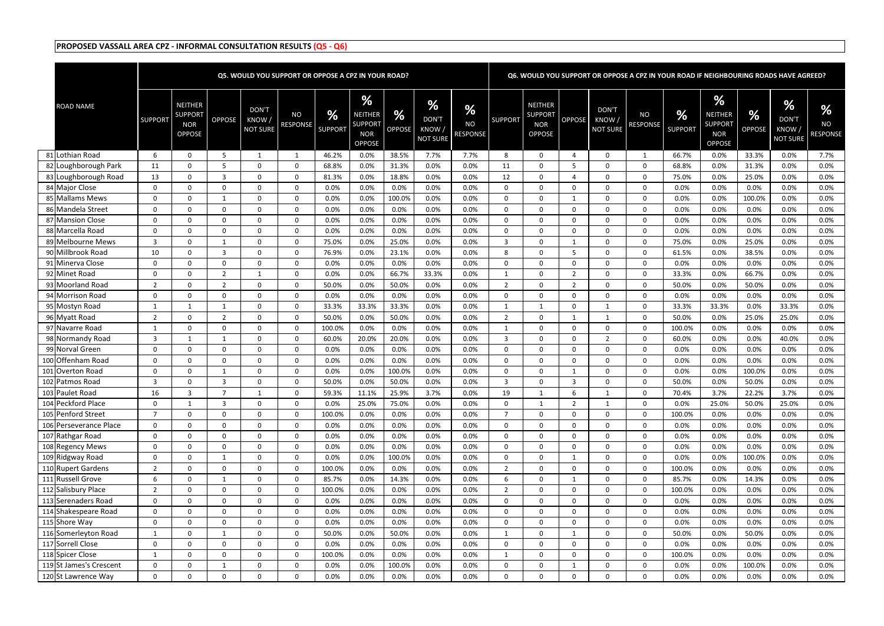|                         |                |                                                                 |                  |                                    | Q5. WOULD YOU SUPPORT OR OPPOSE A CPZ IN YOUR ROAD? |                            |                                                               |                                |                                                          |                            |                  |                                                                 |                  |                                          | Q6. WOULD YOU SUPPORT OR OPPOSE A CPZ IN YOUR ROAD IF NEIGHBOURING ROADS HAVE AGREED? |                     |                                                               |                    |                                       |                                               |
|-------------------------|----------------|-----------------------------------------------------------------|------------------|------------------------------------|-----------------------------------------------------|----------------------------|---------------------------------------------------------------|--------------------------------|----------------------------------------------------------|----------------------------|------------------|-----------------------------------------------------------------|------------------|------------------------------------------|---------------------------------------------------------------------------------------|---------------------|---------------------------------------------------------------|--------------------|---------------------------------------|-----------------------------------------------|
| <b>ROAD NAME</b>        | <b>SUPPORT</b> | <b>NEITHER</b><br><b>SUPPORT</b><br><b>NOR</b><br><b>OPPOSE</b> | <b>OPPOSE</b>    | DON'T<br>KNOW /<br><b>NOT SURE</b> | <b>NO</b><br><b>RESPONSE</b>                        | <b>%</b><br><b>SUPPORT</b> | %<br>NEITHER<br><b>SUPPORT</b><br><b>NOR</b><br><b>OPPOSE</b> | $\frac{9}{6}$<br><b>OPPOSE</b> | $\frac{9}{6}$<br><b>DON'T</b><br>KNOW<br><b>NOT SURE</b> | %<br><b>NO</b><br>RESPONSE | <b>SUPPORT</b>   | <b>NEITHER</b><br><b>SUPPORT</b><br><b>NOR</b><br><b>OPPOSE</b> | <b>OPPOSE</b>    | <b>DON'T</b><br>KNOW,<br><b>NOT SURE</b> | <b>NO</b><br><b>RESPONSE</b>                                                          | %<br><b>SUPPORT</b> | %<br>NEITHER<br><b>SUPPORT</b><br><b>NOR</b><br><b>OPPOSE</b> | %<br><b>OPPOSE</b> | %<br>DON'T<br>KNOW<br><b>NOT SURE</b> | $\frac{9}{6}$<br><b>NO</b><br><b>RESPONSE</b> |
| 81 Lothian Road         | -6             | 0                                                               | -5               |                                    |                                                     | 46.2%                      | 0.0%                                                          | 38.5%                          | 7.7%                                                     | 7.7%                       | 8                | $\Omega$                                                        | $\Delta$         | $\Omega$                                 | $\mathbf 1$                                                                           | 66.7%               | 0.0%                                                          | 33.3%              | 0.0%                                  | 7.7%                                          |
| 82 Loughborough Park    | 11             | 0                                                               | -5               | $\Omega$                           | $\Omega$                                            | 68.8%                      | 0.0%                                                          | 31.3%                          | 0.0%                                                     | 0.0%                       | 11               | $\Omega$                                                        | -5               | $\Omega$                                 | $\mathbf{0}$                                                                          | 68.8%               | 0.0%                                                          | 31.3%              | 0.0%                                  | 0.0%                                          |
| 83 Loughborough Road    | 13             | 0                                                               | $\overline{3}$   | 0                                  | $\overline{0}$                                      | 81.3%                      | 0.0%                                                          | 18.8%                          | 0.0%                                                     | 0.0%                       | 12               | $\Omega$                                                        |                  | $\Omega$                                 | 0                                                                                     | 75.0%               | 0.0%                                                          | 25.0%              | 0.0%                                  | 0.0%                                          |
| 84 Major Close          | $\mathbf{0}$   | 0                                                               | $\overline{0}$   | 0                                  | $\Omega$                                            | 0.0%                       | 0.0%                                                          | 0.0%                           | 0.0%                                                     | 0.0%                       | $\Omega$         | $\Omega$                                                        | $\Omega$         | $\Omega$                                 | 0                                                                                     | 0.0%                | 0.0%                                                          | 0.0%               | 0.0%                                  | 0.0%                                          |
| 85 Mallams Mews         | $\Omega$       | 0                                                               | 1                | 0                                  | $\Omega$                                            | 0.0%                       | 0.0%                                                          | 100.0%                         | 0.0%                                                     | 0.0%                       | $\Omega$         | $\Omega$                                                        | -1               | $\Omega$                                 | 0                                                                                     | 0.0%                | 0.0%                                                          | 100.0%             | 0.0%                                  | 0.0%                                          |
| 86 Mandela Street       | $\Omega$       | 0                                                               | $\Omega$         | $\mathbf 0$                        | $\Omega$                                            | 0.0%                       | 0.0%                                                          | 0.0%                           | 0.0%                                                     | 0.0%                       | $\Omega$         | $\Omega$                                                        | $\Omega$         | $\Omega$                                 | 0                                                                                     | 0.0%                | 0.0%                                                          | 0.0%               | 0.0%                                  | 0.0%                                          |
| 87 Mansion Close        | $\Omega$       | 0                                                               | $\Omega$         | $\Omega$                           | $\Omega$                                            | 0.0%                       | 0.0%                                                          | 0.0%                           | 0.0%                                                     | 0.0%                       | $\Omega$         | - 0                                                             | $\Omega$         | $\Omega$                                 | $\mathbf{0}$                                                                          | 0.0%                | 0.0%                                                          | 0.0%               | 0.0%                                  | 0.0%                                          |
| 88 Marcella Road        | $\mathbf{0}$   | 0                                                               | $\Omega$         | 0                                  | $\Omega$                                            | 0.0%                       | 0.0%                                                          | 0.0%                           | 0.0%                                                     | 0.0%                       | $\Omega$         | - 0                                                             | $\Omega$         | $\Omega$                                 | 0                                                                                     | 0.0%                | 0.0%                                                          | 0.0%               | 0.0%                                  | 0.0%                                          |
| 89 Melbourne Mews       | 3              | 0                                                               | $\overline{1}$   | $\Omega$                           | $\Omega$                                            | 75.0%                      | 0.0%                                                          | 25.0%                          | 0.0%                                                     | 0.0%                       | 3                | $\Omega$                                                        |                  | $\Omega$                                 | 0                                                                                     | 75.0%               | 0.0%                                                          | 25.0%              | 0.0%                                  | 0.0%                                          |
| 90 Millbrook Road       | 10             | 0                                                               | $\overline{3}$   | 0                                  | $\overline{0}$                                      | 76.9%                      | 0.0%                                                          | 23.1%                          | 0.0%                                                     | 0.0%                       | 8                | $\Omega$                                                        | -5               | $\Omega$                                 | 0                                                                                     | 61.5%               | 0.0%                                                          | 38.5%              | 0.0%                                  | 0.0%                                          |
| 91 Minerva Close        | $\mathbf{0}$   | 0                                                               | $\overline{0}$   | $\mathbf 0$                        | $\Omega$                                            | 0.0%                       | 0.0%                                                          | 0.0%                           | 0.0%                                                     | 0.0%                       | $\Omega$         | $\Omega$                                                        | $\Omega$         | $\Omega$                                 | 0                                                                                     | 0.0%                | 0.0%                                                          | 0.0%               | 0.0%                                  | 0.0%                                          |
| 92 Minet Road           | $\Omega$       | 0                                                               | 2                | $\mathbf{1}$                       | $\Omega$                                            | 0.0%                       | 0.0%                                                          | 66.7%                          | 33.3%                                                    | 0.0%                       | $\mathbf{1}$     | $\Omega$                                                        | $\overline{2}$   | $\Omega$                                 | 0                                                                                     | 33.3%               | 0.0%                                                          | 66.7%              | 0.0%                                  | 0.0%                                          |
| 93 Moorland Road        | 2              | 0                                                               | $\overline{2}$   | 0                                  | $\Omega$                                            | 50.0%                      | 0.0%                                                          | 50.0%                          | 0.0%                                                     | 0.0%                       | 2                | $\Omega$                                                        | -2               | $\Omega$                                 | 0                                                                                     | 50.0%               | 0.0%                                                          | 50.0%              | 0.0%                                  | 0.0%                                          |
| 94 Morrison Road        | $\mathbf{0}$   | 0                                                               | $\overline{0}$   | 0                                  | $\Omega$                                            | 0.0%                       | 0.0%                                                          | 0.0%                           | 0.0%                                                     | 0.0%                       | $\Omega$         | - 0                                                             | $\Omega$         | $\Omega$                                 | 0                                                                                     | 0.0%                | 0.0%                                                          | 0.0%               | 0.0%                                  | 0.0%                                          |
| 95 Mostyn Road          | -1             |                                                                 | 1                | $\mathbf 0$                        | $\overline{0}$                                      | 33.3%                      | 33.3%                                                         | 33.3%                          | 0.0%                                                     | 0.0%                       | $\mathbf{1}$     | -1                                                              | $\Omega$         | 1                                        | $\mathbf{0}$                                                                          | 33.3%               | 33.3%                                                         | 0.0%               | 33.3%                                 | 0.0%                                          |
| 96 Myatt Road           | $\overline{2}$ | 0                                                               | $\overline{2}$   | $\overline{0}$                     | $\overline{0}$                                      | 50.0%                      | 0.0%                                                          | 50.0%                          | 0.0%                                                     | 0.0%                       | 2                | - 0                                                             |                  | -1                                       | 0                                                                                     | 50.0%               | 0.0%                                                          | 25.0%              | 25.0%                                 | 0.0%                                          |
| 97 Navarre Road         | 1              | 0                                                               | $\mathbf 0$      | 0                                  | $\overline{0}$                                      | 100.0%                     | 0.0%                                                          | 0.0%                           | 0.0%                                                     | 0.0%                       | $\mathbf{1}$     | $\Omega$                                                        | $\Omega$         | $\Omega$                                 | 0                                                                                     | 100.0%              | 0.0%                                                          | 0.0%               | 0.0%                                  | 0.0%                                          |
| 98 Normandy Road        | 3              |                                                                 | 1                | $\overline{0}$                     | $\Omega$                                            | 60.0%                      | 20.0%                                                         | 20.0%                          | 0.0%                                                     | 0.0%                       | 3                | $\Omega$                                                        | $\Omega$         | 2                                        | 0                                                                                     | 60.0%               | 0.0%                                                          | 0.0%               | 40.0%                                 | 0.0%                                          |
| 99 Norval Green         | $\Omega$       | 0                                                               | $\Omega$         | $\mathbf 0$                        | $\Omega$                                            | 0.0%                       | 0.0%                                                          | 0.0%                           | 0.0%                                                     | 0.0%                       | $\Omega$         | $\Omega$                                                        | $\Omega$         | $\Omega$                                 | $\mathbf{0}$                                                                          | 0.0%                | 0.0%                                                          | 0.0%               | 0.0%                                  | 0.0%                                          |
| 100 Offenham Road       | $\Omega$       | 0                                                               | $\Omega$         | $\Omega$                           | $\Omega$                                            | 0.0%                       | 0.0%                                                          | 0.0%                           | 0.0%                                                     | 0.0%                       | $\Omega$         | - 0                                                             | $\Omega$         | $\Omega$                                 | $\mathbf{0}$                                                                          | 0.0%                | 0.0%                                                          | 0.0%               | 0.0%                                  | 0.0%                                          |
| 101 Overton Road        | $\Omega$       | 0                                                               | 1                | $\overline{0}$                     | $\Omega$                                            | 0.0%                       | 0.0%                                                          | 100.0%                         | 0.0%                                                     | 0.0%                       | $\Omega$         | - 0                                                             |                  | $\Omega$                                 | 0                                                                                     | 0.0%                | 0.0%                                                          | 100.0%             | 0.0%                                  | 0.0%                                          |
| 102 Patmos Road         | 3              | 0                                                               | 3                | $\Omega$                           | $\Omega$                                            | 50.0%                      | 0.0%                                                          | 50.0%                          | 0.0%                                                     | 0.0%                       | 3                | - 0                                                             | 3                | $\Omega$                                 | $\mathbf{0}$                                                                          | 50.0%               | 0.0%                                                          | 50.0%              | 0.0%                                  | 0.0%                                          |
| 103 Paulet Road         | 16             |                                                                 | 7                |                                    | $\Omega$                                            | 59.3%                      | 11.1%                                                         | 25.9%                          | 3.7%                                                     | 0.0%                       | 19               |                                                                 | 6                |                                          | $\Omega$                                                                              | 70.4%               | 3.7%                                                          | 22.2%              | 3.7%                                  | 0.0%                                          |
| 104 Peckford Place      | $\Omega$       | $\mathbf{1}$                                                    | $\overline{3}$   | $\mathbf 0$                        | $\mathbf 0$                                         | 0.0%                       | 25.0%                                                         | 75.0%                          | 0.0%                                                     | 0.0%                       | $\Omega$         |                                                                 | $\overline{2}$   | 1                                        | $\mathbf 0$                                                                           | 0.0%                | 25.0%                                                         | 50.0%              | 25.0%                                 | 0.0%                                          |
| 105 Penford Street      | $\overline{7}$ | 0                                                               | $\mathbf 0$      | $\mathbf 0$                        | $\mathbf 0$                                         | 100.0%                     | 0.0%                                                          | 0.0%                           | 0.0%                                                     | 0.0%                       | $\overline{7}$   | $\Omega$                                                        | $\Omega$         | $\Omega$                                 | $\mathbf 0$                                                                           | 100.0%              | 0.0%                                                          | 0.0%               | 0.0%                                  | $0.0\%$                                       |
| 106 Perseverance Place  | $\Omega$       | 0                                                               | $\mathbf 0$      | 0                                  | $\mathbf{0}$                                        | 0.0%                       | 0.0%                                                          | 0.0%                           | 0.0%                                                     | 0.0%                       | $\Omega$         | $\Omega$                                                        | $\overline{0}$   | $\mathbf{0}$                             | 0                                                                                     | 0.0%                | 0.0%                                                          | 0.0%               | 0.0%                                  | 0.0%                                          |
| 107 Rathgar Road        | $\mathbf{0}$   | 0                                                               | $\boldsymbol{0}$ | 0                                  | $\mathbf 0$                                         | 0.0%                       | 0.0%                                                          | 0.0%                           | 0.0%                                                     | 0.0%                       | $\mathbf 0$      | $\mathbf 0$                                                     | $\mathbf 0$      | $\mathbf{0}$                             | $\mathbf 0$                                                                           | 0.0%                | 0.0%                                                          | 0.0%               | 0.0%                                  | 0.0%                                          |
| 108 Regency Mews        | $\mathbf 0$    | 0                                                               | $\mathbf 0$      | 0                                  | 0                                                   | 0.0%                       | 0.0%                                                          | 0.0%                           | 0.0%                                                     | 0.0%                       | $\mathbf 0$      | $\mathbf 0$                                                     | $\mathbf 0$      | $\mathbf{0}$                             | 0                                                                                     | 0.0%                | 0.0%                                                          | 0.0%               | 0.0%                                  | 0.0%                                          |
| 109 Ridgway Road        | 0              | 0                                                               | 1                | $\mathbf 0$                        | $\mathbf 0$                                         | 0.0%                       | 0.0%                                                          | 100.0%                         | 0.0%                                                     | 0.0%                       | $\mathbf{0}$     | $\mathbf 0$                                                     | 1                | 0                                        | $\mathbf 0$                                                                           | 0.0%                | 0.0%                                                          | 100.0%             | 0.0%                                  | 0.0%                                          |
| 110 Rupert Gardens      | $\overline{2}$ | 0                                                               | $\mathbf 0$      | $\mathbf 0$                        | 0                                                   | 100.0%                     | 0.0%                                                          | 0.0%                           | 0.0%                                                     | 0.0%                       | $\overline{2}$   | $\mathbf 0$                                                     | $\mathbf 0$      | $\mathbf{0}$                             | $\mathbf 0$                                                                           | 100.0%              | 0.0%                                                          | 0.0%               | 0.0%                                  | 0.0%                                          |
| 111 Russell Grove       | 6              | 0                                                               | 1                | $\mathbf 0$                        | $\mathbf 0$                                         | 85.7%                      | 0.0%                                                          | 14.3%                          | 0.0%                                                     | 0.0%                       | 6                | $\Omega$                                                        | $\overline{1}$   | $\mathbf{0}$                             | $\mathbf 0$                                                                           | 85.7%               | 0.0%                                                          | 14.3%              | 0.0%                                  | 0.0%                                          |
| 112 Salisbury Place     | 2              | 0                                                               | $\mathbf 0$      | 0                                  | $\mathbf 0$                                         | 100.0%                     | 0.0%                                                          | 0.0%                           | 0.0%                                                     | 0.0%                       | $\overline{2}$   | $\mathbf 0$                                                     | $\mathbf 0$      | $\Omega$                                 | $\mathbf 0$                                                                           | 100.0%              | 0.0%                                                          | 0.0%               | 0.0%                                  | 0.0%                                          |
| 113 Serenaders Road     | $\mathbf{0}$   | 0                                                               | $\mathbf 0$      | 0                                  | $\overline{0}$                                      | 0.0%                       | 0.0%                                                          | 0.0%                           | 0.0%                                                     | 0.0%                       | $\mathbf 0$      | $\mathbf 0$                                                     | $\mathbf 0$      | $\mathbf{0}$                             | 0                                                                                     | 0.0%                | 0.0%                                                          | 0.0%               | 0.0%                                  | 0.0%                                          |
| 114 Shakespeare Road    | $\mathbf{0}$   | $\mathbf{0}$                                                    | $\boldsymbol{0}$ | 0                                  | $\mathbf 0$                                         | 0.0%                       | 0.0%                                                          | 0.0%                           | 0.0%                                                     | 0.0%                       | $\mathbf 0$      | $\mathbf 0$                                                     | $\mathbf 0$      | $\mathbf{0}$                             | $\mathbf 0$                                                                           | 0.0%                | 0.0%                                                          | 0.0%               | 0.0%                                  | 0.0%                                          |
| 115 Shore Way           | $\mathbf 0$    | 0                                                               | $\mathbf 0$      | $\mathbf 0$                        | $\mathbf{0}$                                        | 0.0%                       | 0.0%                                                          | 0.0%                           | 0.0%                                                     | 0.0%                       | $\mathbf 0$      | $\mathbf 0$                                                     | $\mathbf 0$      | 0                                        | $\boldsymbol{0}$                                                                      | 0.0%                | 0.0%                                                          | 0.0%               | 0.0%                                  | 0.0%                                          |
| 116 Somerleyton Road    | 1              | $\mathbf 0$                                                     | $\mathbf{1}$     | $\mathbf 0$                        | $\mathbf 0$                                         | 50.0%                      | 0.0%                                                          | 50.0%                          | 0.0%                                                     | 0.0%                       | 1                | $\mathbf 0$                                                     | 1                | 0                                        | $\mathbf 0$                                                                           | 50.0%               | 0.0%                                                          | 50.0%              | 0.0%                                  | 0.0%                                          |
| 117 Sorrell Close       | $\mathbf{0}$   | $\mathbf{0}$                                                    | $\mathbf 0$      | $\mathbf 0$                        | $\mathbf 0$                                         | 0.0%                       | 0.0%                                                          | 0.0%                           | 0.0%                                                     | 0.0%                       | $\boldsymbol{0}$ | 0                                                               | $\mathbf 0$      | $\mathbf 0$                              | $\mathbf 0$                                                                           | 0.0%                | 0.0%                                                          | 0.0%               | 0.0%                                  | $0.0\%$                                       |
| 118 Spicer Close        | $\overline{1}$ | $\mathbf{0}$                                                    | $\mathbf 0$      | $\mathbf 0$                        | $\mathbf 0$                                         | 100.0%                     | 0.0%                                                          | 0.0%                           | 0.0%                                                     | 0.0%                       | $\mathbf{1}$     | $\Omega$                                                        | $\overline{0}$   | $\mathbf{0}$                             | $\mathbf 0$                                                                           | 100.0%              | 0.0%                                                          | 0.0%               | 0.0%                                  | 0.0%                                          |
| 119 St James's Crescent | $\mathbf{0}$   | 0                                                               | 1                | 0                                  | 0                                                   | 0.0%                       | 0.0%                                                          | 100.0%                         | 0.0%                                                     | 0.0%                       | $\mathbf 0$      | $\mathbf 0$                                                     | 1                | 0                                        | $\mathbf 0$                                                                           | 0.0%                | 0.0%                                                          | 100.0%             | 0.0%                                  | 0.0%                                          |
| 120 St Lawrence Way     | $\mathbf 0$    | 0                                                               | $\mathbf 0$      | $\mathbf 0$                        | $\mathbf{0}$                                        | 0.0%                       | 0.0%                                                          | 0.0%                           | 0.0%                                                     | 0.0%                       | 0                | 0                                                               | $\boldsymbol{0}$ | 0                                        | $\mathbf 0$                                                                           | 0.0%                | 0.0%                                                          | 0.0%               | 0.0%                                  | 0.0%                                          |
|                         |                |                                                                 |                  |                                    |                                                     |                            |                                                               |                                |                                                          |                            |                  |                                                                 |                  |                                          |                                                                                       |                     |                                                               |                    |                                       |                                               |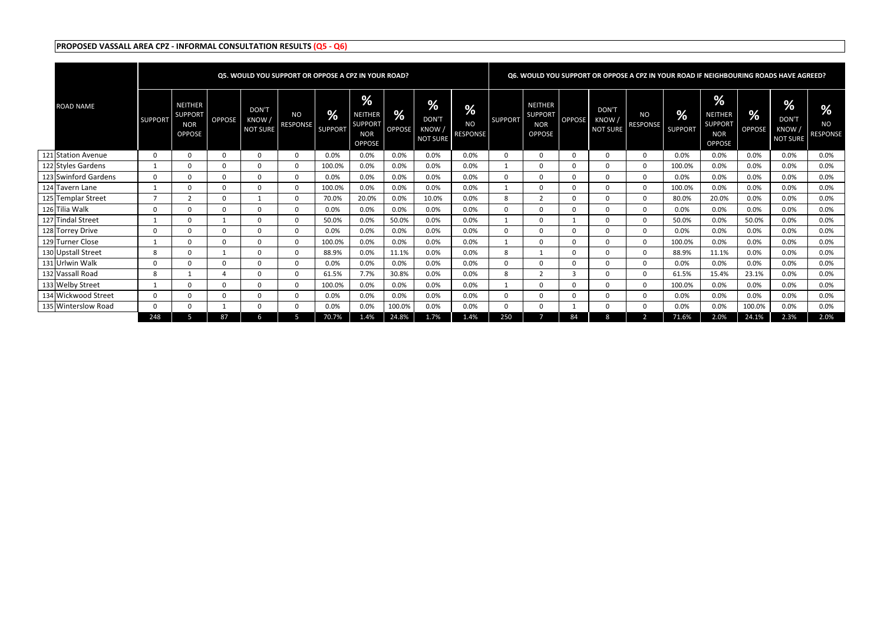|                      |                |                                                                 |               |                                   | <b>Q5. WOULD YOU SUPPORT OR OPPOSE A CPZ IN YOUR ROAD?</b> |                            |                                                               |                         |                                              |                                      |                |                                                                 |          |                                          |                              |                     |                                                                  |                                | Q6. WOULD YOU SUPPORT OR OPPOSE A CPZ IN YOUR ROAD IF NEIGHBOURING ROADS HAVE AGREED? |                                   |
|----------------------|----------------|-----------------------------------------------------------------|---------------|-----------------------------------|------------------------------------------------------------|----------------------------|---------------------------------------------------------------|-------------------------|----------------------------------------------|--------------------------------------|----------------|-----------------------------------------------------------------|----------|------------------------------------------|------------------------------|---------------------|------------------------------------------------------------------|--------------------------------|---------------------------------------------------------------------------------------|-----------------------------------|
| <b>ROAD NAME</b>     | <b>SUPPORT</b> | <b>NEITHER</b><br><b>SUPPORT</b><br><b>NOR</b><br><b>OPPOSE</b> | <b>OPPOSE</b> | DON'T<br>KNOW/<br><b>NOT SURE</b> | <b>NO</b><br><b>RESPONSE</b>                               | <b>%</b><br><b>SUPPORT</b> | %<br>NEITHER<br><b>SUPPORT</b><br><b>NOR</b><br><b>OPPOSE</b> | $\frac{9}{6}$<br>OPPOSE | %<br><b>DON'T</b><br>KNOW<br><b>NOT SURE</b> | <b>Vol.</b><br><b>NO</b><br>RESPONSE | <b>SUPPORT</b> | <b>NEITHER</b><br><b>SUPPORT</b><br><b>NOR</b><br><b>OPPOSE</b> | OPPOSE   | <b>DON'T</b><br>KNOW,<br><b>NOT SURE</b> | <b>NO</b><br><b>RESPONSE</b> | %<br><b>SUPPORT</b> | $\%$<br>NEITHER<br><b>SUPPORT</b><br><b>NOR</b><br><b>OPPOSE</b> | $\frac{9}{6}$<br><b>OPPOSE</b> | $\frac{9}{6}$<br>DON'T<br>KNOW/<br><b>NOT SURE</b>                                    | %<br><b>NO</b><br><b>RESPONSE</b> |
| 121 Station Avenue   |                | 0                                                               | $\Omega$      | $\Omega$                          | 0                                                          | 0.0%                       | 0.0%                                                          | 0.0%                    | 0.0%                                         | $0.0\%$                              |                |                                                                 | $\Omega$ | 0                                        | $\mathbf{0}$                 | 0.0%                | 0.0%                                                             | 0.0%                           | 0.0%                                                                                  | 0.0%                              |
| 122 Styles Gardens   |                |                                                                 | $\Omega$      | $\Omega$                          | 0                                                          | 100.0%                     | 0.0%                                                          | 0.0%                    | 0.0%                                         | 0.0%                                 |                | $\Omega$                                                        | $\Omega$ | $\Omega$                                 | 0                            | 100.0%              | 0.0%                                                             | 0.0%                           | 0.0%                                                                                  | 0.0%                              |
| 123 Swinford Gardens | 0              | $\Omega$                                                        | $\Omega$      | $\Omega$                          | $\Omega$                                                   | 0.0%                       | 0.0%                                                          | 0.0%                    | 0.0%                                         | 0.0%                                 | $\Omega$       | $\Omega$                                                        | $\Omega$ | $\Omega$                                 | $\mathbf{0}$                 | 0.0%                | 0.0%                                                             | 0.0%                           | 0.0%                                                                                  | 0.0%                              |
| 124 Tavern Lane      |                | $\Omega$                                                        | $\Omega$      | $\Omega$                          | $\Omega$                                                   | 100.0%                     | 0.0%                                                          | 0.0%                    | 0.0%                                         | 0.0%                                 |                | $\Omega$                                                        | $\Omega$ | $\Omega$                                 | $\mathbf{0}$                 | 100.0%              | 0.0%                                                             | 0.0%                           | 0.0%                                                                                  | 0.0%                              |
| 125 Templar Street   |                |                                                                 | $\Omega$      |                                   | $\Omega$                                                   | 70.0%                      | 20.0%                                                         | 0.0%                    | 10.0%                                        | 0.0%                                 | -8             | $\overline{2}$                                                  | $\Omega$ | $\Omega$                                 | $\mathbf{0}$                 | 80.0%               | 20.0%                                                            | 0.0%                           | 0.0%                                                                                  | 0.0%                              |
| 126 Tilia Walk       |                | 0                                                               | $\Omega$      | 0                                 | $\Omega$                                                   | 0.0%                       | 0.0%                                                          | 0.0%                    | 0.0%                                         | 0.0%                                 |                | $\Omega$                                                        | $\Omega$ | $\Omega$                                 | $\mathbf{0}$                 | 0.0%                | 0.0%                                                             | 0.0%                           | 0.0%                                                                                  | 0.0%                              |
| 127 Tindal Street    |                | 0                                                               |               | 0                                 | $\Omega$                                                   | 50.0%                      | 0.0%                                                          | 50.0%                   | 0.0%                                         | 0.0%                                 |                |                                                                 |          | $\Omega$                                 | $\mathbf{0}$                 | 50.0%               | 0.0%                                                             | 50.0%                          | 0.0%                                                                                  | 0.0%                              |
| 128 Torrey Drive     |                | 0                                                               | $\Omega$      | $\Omega$                          | $\Omega$                                                   | 0.0%                       | 0.0%                                                          | 0.0%                    | 0.0%                                         | 0.0%                                 |                |                                                                 | $\Omega$ | $\Omega$                                 | $\Omega$                     | 0.0%                | 0.0%                                                             | 0.0%                           | 0.0%                                                                                  | 0.0%                              |
| 129 Turner Close     |                | $\Omega$                                                        | $\Omega$      | 0                                 | $\Omega$                                                   | 100.0%                     | 0.0%                                                          | 0.0%                    | 0.0%                                         | 0.0%                                 |                |                                                                 | $\Omega$ | $\Omega$                                 | $\Omega$                     | 100.0%              | 0.0%                                                             | 0.0%                           | 0.0%                                                                                  | 0.0%                              |
| 130 Upstall Street   | 8              | $\Omega$                                                        |               | $\Omega$                          | $\Omega$                                                   | 88.9%                      | 0.0%                                                          | 11.1%                   | 0.0%                                         | 0.0%                                 | 8              |                                                                 | $\Omega$ | $\Omega$                                 | $\mathbf{0}$                 | 88.9%               | 11.1%                                                            | 0.0%                           | 0.0%                                                                                  | 0.0%                              |
| 131 Urlwin Walk      |                |                                                                 | $\Omega$      | $\Omega$                          | $\Omega$                                                   | 0.0%                       | 0.0%                                                          | 0.0%                    | 0.0%                                         | 0.0%                                 | $\Omega$       |                                                                 | $\Omega$ | $\Omega$                                 | $\mathbf{0}$                 | 0.0%                | 0.0%                                                             | 0.0%                           | 0.0%                                                                                  | 0.0%                              |
| 132 Vassall Road     | 8              |                                                                 |               | 0                                 | $\Omega$                                                   | 61.5%                      | 7.7%                                                          | 30.8%                   | 0.0%                                         | 0.0%                                 | 8              |                                                                 | 3        | $\Omega$                                 | $\mathbf{0}$                 | 61.5%               | 15.4%                                                            | 23.1%                          | 0.0%                                                                                  | 0.0%                              |
| 133 Welby Street     |                |                                                                 | $\Omega$      | $\Omega$                          | $\Omega$                                                   | 100.0%                     | 0.0%                                                          | 0.0%                    | 0.0%                                         | 0.0%                                 |                |                                                                 | $\Omega$ | $\Omega$                                 | $\mathbf{0}$                 | 100.0%              | 0.0%                                                             | 0.0%                           | 0.0%                                                                                  | 0.0%                              |
| 134 Wickwood Street  |                |                                                                 | $\Omega$      | 0                                 | U                                                          | 0.0%                       | 0.0%                                                          | 0.0%                    | 0.0%                                         | 0.0%                                 | $\Omega$       | $\Omega$                                                        | $\Omega$ | <sup>0</sup>                             | $\mathbf{0}$                 | 0.0%                | 0.0%                                                             | 0.0%                           | 0.0%                                                                                  | 0.0%                              |
| 135 Winterslow Road  |                | $\Omega$                                                        |               | $\Omega$                          | 0                                                          | 0.0%                       | 0.0%                                                          | 100.0%                  | 0.0%                                         | 0.0%                                 | $\Omega$       | $\Omega$                                                        |          | <sup>0</sup>                             | $\mathbf{0}$                 | 0.0%                | 0.0%                                                             | 100.0%                         | 0.0%                                                                                  | 0.0%                              |
|                      | 248            | 5                                                               | 87            | 6                                 | 5                                                          | 70.7%                      | 1.4%                                                          | 24.8%                   | 1.7%                                         | 1.4%                                 | 250            |                                                                 | 84       | 8                                        | 2                            | 71.6%               | 2.0%                                                             | 24.1%                          | 2.3%                                                                                  | 2.0%                              |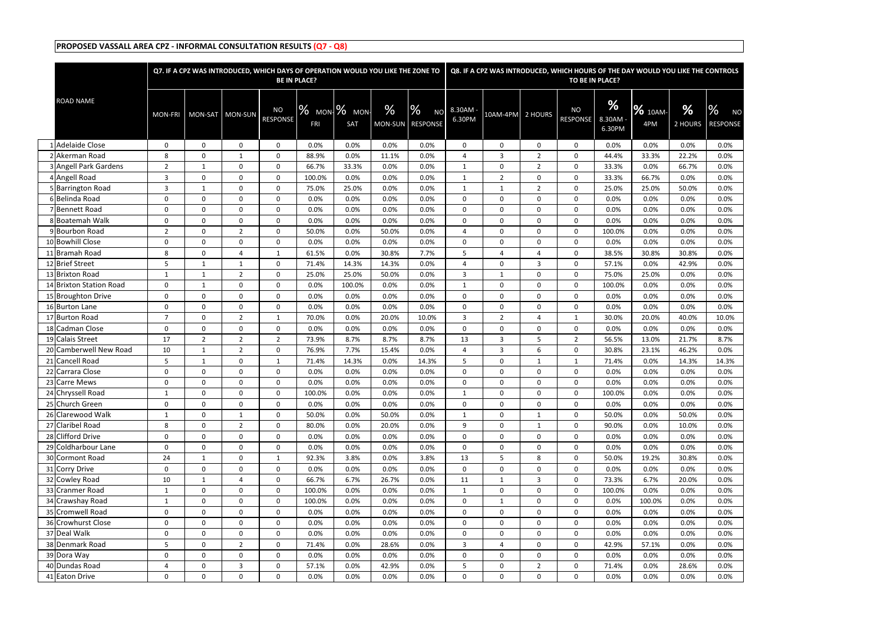|                         |                | Q7. IF A CPZ WAS INTRODUCED, WHICH DAYS OF OPERATION WOULD YOU LIKE THE ZONE TO |                  |                       | <b>BE IN PLACE?</b> |                          |                 |                                   |                  |                |                | Q8. IF A CPZ WAS INTRODUCED, WHICH HOURS OF THE DAY WOULD YOU LIKE THE CONTROLS<br>TO BE IN PLACE? |                       |                       |              |                                               |
|-------------------------|----------------|---------------------------------------------------------------------------------|------------------|-----------------------|---------------------|--------------------------|-----------------|-----------------------------------|------------------|----------------|----------------|----------------------------------------------------------------------------------------------------|-----------------------|-----------------------|--------------|-----------------------------------------------|
|                         |                |                                                                                 |                  |                       |                     |                          |                 |                                   |                  |                |                |                                                                                                    |                       |                       |              |                                               |
| <b>ROAD NAME</b>        | <b>MON-FRI</b> | MON-SAT MON-SUN                                                                 |                  | <b>NO</b><br>RESPONSE | FRI                 | $\%$ MON $\%$ MON<br>SAT | $\%$<br>MON-SUN | %<br><b>NO</b><br><b>RESPONSE</b> | 8.30AM<br>6.30PM | 10AM-4PM       | 2 HOURS        | <b>NO</b><br><b>RESPONSE</b>                                                                       | %<br>8.30AM<br>6.30PM | <b>%</b> 10AM-<br>4PM | %<br>2 HOURS | $\frac{0}{6}$<br><b>NO</b><br><b>RESPONSE</b> |
| <b>Adelaide Close</b>   | 0              | $\mathbf 0$                                                                     | $\mathbf 0$      | $\mathbf 0$           | 0.0%                | 0.0%                     | 0.0%            | 0.0%                              | $\Omega$         | $\Omega$       | $\mathbf{0}$   | $\Omega$                                                                                           | 0.0%                  | 0.0%                  | 0.0%         | 0.0%                                          |
| 2 Akerman Road          | 8              | $\mathbf 0$                                                                     | 1                | 0                     | 88.9%               | 0.0%                     | 11.1%           | 0.0%                              | 4                | 3              | $\overline{2}$ | $\mathbf{0}$                                                                                       | 44.4%                 | 33.3%                 | 22.2%        | 0.0%                                          |
| 3 Angell Park Gardens   | $\overline{2}$ | 1                                                                               | $\mathbf 0$      | 0                     | 66.7%               | 33.3%                    | 0.0%            | 0.0%                              | 1                | $\Omega$       | 2              | 0                                                                                                  | 33.3%                 | 0.0%                  | 66.7%        | 0.0%                                          |
| 4 Angell Road           | 3              | $\mathbf 0$                                                                     | $\mathbf 0$      | $\mathbf 0$           | 100.0%              | 0.0%                     | 0.0%            | 0.0%                              |                  | $\overline{2}$ | $\mathbf 0$    | 0                                                                                                  | 33.3%                 | 66.7%                 | 0.0%         | 0.0%                                          |
| 5 Barrington Road       | 3              | 1                                                                               | 0                | 0                     | 75.0%               | 25.0%                    | 0.0%            | 0.0%                              | 1                | 1              | $\overline{2}$ | 0                                                                                                  | 25.0%                 | 25.0%                 | 50.0%        | 0.0%                                          |
| 6 Belinda Road          | 0              | 0                                                                               | $\mathbf 0$      | $\mathbf 0$           | 0.0%                | 0.0%                     | 0.0%            | 0.0%                              | $\Omega$         | 0              | 0              | 0                                                                                                  | 0.0%                  | 0.0%                  | 0.0%         | 0.0%                                          |
| 7 Bennett Road          | $\mathbf 0$    | 0                                                                               | $\mathbf 0$      | 0                     | 0.0%                | 0.0%                     | 0.0%            | 0.0%                              | $\Omega$         | $\mathbf 0$    | 0              | $\mathbf 0$                                                                                        | 0.0%                  | 0.0%                  | 0.0%         | 0.0%                                          |
| 8 Boatemah Walk         | 0              | $\mathbf 0$                                                                     | $\mathbf 0$      | $\mathbf 0$           | 0.0%                | 0.0%                     | 0.0%            | 0.0%                              | $\Omega$         | 0              | 0              | $\mathbf{0}$                                                                                       | 0.0%                  | 0.0%                  | 0.0%         | 0.0%                                          |
| 9 Bourbon Road          | $\overline{2}$ | 0                                                                               | 2                | $\Omega$              | 50.0%               | 0.0%                     | 50.0%           | 0.0%                              | $\overline{a}$   | $\Omega$       | 0              | 0                                                                                                  | 100.0%                | 0.0%                  | 0.0%         | 0.0%                                          |
| 10 Bowhill Close        | $\mathbf 0$    | $\mathbf 0$                                                                     | $\mathbf 0$      | $\mathbf 0$           | 0.0%                | 0.0%                     | 0.0%            | 0.0%                              | $\Omega$         | $\mathbf 0$    | $\mathbf 0$    | $\mathbf 0$                                                                                        | 0.0%                  | 0.0%                  | 0.0%         | 0.0%                                          |
| 11 Bramah Road          | 8              | 0                                                                               | 4                | $\mathbf{1}$          | 61.5%               | 0.0%                     | 30.8%           | 7.7%                              | 5                | 4              | 4              | 0                                                                                                  | 38.5%                 | 30.8%                 | 30.8%        | 0.0%                                          |
| 12 Brief Street         | 5              | $\mathbf{1}$                                                                    | 1                | 0                     | 71.4%               | 14.3%                    | 14.3%           | 0.0%                              | 4                | 0              | 3              | 0                                                                                                  | 57.1%                 | 0.0%                  | 42.9%        | 0.0%                                          |
| 13 Brixton Road         | $\mathbf{1}$   | $\mathbf{1}$                                                                    | 2                | 0                     | 25.0%               | 25.0%                    | 50.0%           | 0.0%                              | 3                | $\mathbf{1}$   | 0              | $\mathbf 0$                                                                                        | 75.0%                 | 25.0%                 | 0.0%         | 0.0%                                          |
| 14 Brixton Station Road | 0              | $\mathbf{1}$                                                                    | $\mathbf 0$      | $\mathbf 0$           | 0.0%                | 100.0%                   | 0.0%            | 0.0%                              | $\mathbf{1}$     | $\Omega$       | 0              | $\mathbf{0}$                                                                                       | 100.0%                | 0.0%                  | 0.0%         | 0.0%                                          |
| 15 Broughton Drive      | 0              | $\mathbf 0$                                                                     | $\mathbf 0$      | 0                     | 0.0%                | 0.0%                     | 0.0%            | 0.0%                              | $\Omega$         | $\mathbf 0$    | 0              | 0                                                                                                  | 0.0%                  | 0.0%                  | 0.0%         | 0.0%                                          |
| 16 Burton Lane          | $\mathbf 0$    | $\mathbf 0$                                                                     | $\mathbf 0$      | $\mathbf 0$           | 0.0%                | 0.0%                     | 0.0%            | 0.0%                              | $\Omega$         | $\mathbf 0$    | $\mathbf 0$    | 0                                                                                                  | 0.0%                  | 0.0%                  | 0.0%         | 0.0%                                          |
| 17 Burton Road          | $\overline{7}$ | $\mathbf 0$                                                                     | 2                | $\mathbf{1}$          | 70.0%               | 0.0%                     | 20.0%           | 10.0%                             | 3                | 2              | 4              | 1                                                                                                  | 30.0%                 | 20.0%                 | 40.0%        | 10.0%                                         |
| 18 Cadman Close         | 0              | 0                                                                               | 0                | 0                     | 0.0%                | 0.0%                     | 0.0%            | 0.0%                              | $\Omega$         | 0              | 0              | 0                                                                                                  | 0.0%                  | 0.0%                  | 0.0%         | 0.0%                                          |
| 19 Calais Street        | 17             | $\overline{2}$                                                                  | 2                | $\overline{2}$        | 73.9%               | 8.7%                     | 8.7%            | 8.7%                              | 13               | 3              | 5              | $\overline{2}$                                                                                     | 56.5%                 | 13.0%                 | 21.7%        | 8.7%                                          |
| 20 Camberwell New Road  | 10             | $\mathbf{1}$                                                                    | 2                | $\mathbf 0$           | 76.9%               | 7.7%                     | 15.4%           | 0.0%                              | 4                | 3              | 6              | $\mathbf{0}$                                                                                       | 30.8%                 | 23.1%                 | 46.2%        | 0.0%                                          |
| 21 Cancell Road         | 5              | 1                                                                               | $\mathbf 0$      | $\mathbf{1}$          | 71.4%               | 14.3%                    | 0.0%            | 14.3%                             | 5                | $\Omega$       | $\mathbf{1}$   | 1                                                                                                  | 71.4%                 | 0.0%                  | 14.3%        | 14.3%                                         |
| 22 Carrara Close        | $\Omega$       | 0                                                                               | 0                | 0                     | 0.0%                | 0.0%                     | 0.0%            | 0.0%                              | $\Omega$         | 0              | 0              | 0                                                                                                  | 0.0%                  | 0.0%                  | 0.0%         | 0.0%                                          |
| 23 Carre Mews           | $\Omega$       | 0                                                                               | 0                | 0                     | 0.0%                | 0.0%                     | 0.0%            | 0.0%                              | $\Omega$         | 0              | 0              | 0                                                                                                  | 0.0%                  | 0.0%                  | 0.0%         | 0.0%                                          |
| 24 Chryssell Road       | -1             | 0                                                                               | $\mathbf{0}$     | $\Omega$              | 100.0%              | 0.0%                     | 0.0%            | 0.0%                              |                  | $\Omega$       | $\Omega$       | 0                                                                                                  | 100.0%                | 0.0%                  | 0.0%         | 0.0%                                          |
| 25 Church Green         | 0              | 0                                                                               | $\mathbf 0$      | 0                     | 0.0%                | 0.0%                     | 0.0%            | 0.0%                              | $\mathbf 0$      | 0              | 0              | 0                                                                                                  | 0.0%                  | 0.0%                  | 0.0%         | 0.0%                                          |
| 26 Clarewood Walk       | $\mathbf{1}$   | $\mathbf 0$                                                                     | $\mathbf{1}$     | $\mathbf 0$           | 50.0%               | 0.0%                     | 50.0%           | 0.0%                              | $\mathbf{1}$     | $\mathbf 0$    | $\mathbf{1}$   | $\mathbf{0}$                                                                                       | 50.0%                 | 0.0%                  | 50.0%        | 0.0%                                          |
| 27 Claribel Road        | 8              | 0                                                                               | $\overline{2}$   | 0                     | 80.0%               | 0.0%                     | 20.0%           | 0.0%                              | 9                | $\mathbf 0$    | 1              | $\mathbf{0}$                                                                                       | 90.0%                 | 0.0%                  | 10.0%        | 0.0%                                          |
| 28 Clifford Drive       | $\mathbf 0$    | 0                                                                               | $\mathbf 0$      | 0                     | 0.0%                | 0.0%                     | 0.0%            | 0.0%                              | $\mathbf 0$      | $\mathbf 0$    | 0              | $\mathbf 0$                                                                                        | 0.0%                  | 0.0%                  | 0.0%         | 0.0%                                          |
| 29 Coldharbour Lane     | $\mathbf 0$    | $\mathbf 0$                                                                     | $\mathbf 0$      | 0                     | 0.0%                | 0.0%                     | 0.0%            | 0.0%                              | 0                | 0              | 0              | 0                                                                                                  | 0.0%                  | 0.0%                  | 0.0%         | 0.0%                                          |
| 30 Cormont Road         | 24             | $\mathbf{1}$                                                                    | $\mathbf 0$      | $\mathbf{1}$          | 92.3%               | 3.8%                     | 0.0%            | 3.8%                              | 13               | 5              | 8              | $\mathbf 0$                                                                                        | 50.0%                 | 19.2%                 | 30.8%        | 0.0%                                          |
| 31 Corry Drive          | 0              | $\mathbf 0$                                                                     | $\mathbf 0$      | $\mathbf 0$           | 0.0%                | 0.0%                     | 0.0%            | 0.0%                              | $\mathbf 0$      | 0              | 0              | $\mathbf 0$                                                                                        | 0.0%                  | 0.0%                  | 0.0%         | 0.0%                                          |
| 32 Cowley Road          | 10             | $\mathbf{1}$                                                                    | 4                | $\mathbf 0$           | 66.7%               | 6.7%                     | 26.7%           | 0.0%                              | 11               | $\mathbf{1}$   | 3              | $\mathbf 0$                                                                                        | 73.3%                 | 6.7%                  | 20.0%        | 0.0%                                          |
| 33 Cranmer Road         | $\mathbf{1}$   | 0                                                                               | $\mathbf 0$      | 0                     | 100.0%              | 0.0%                     | 0.0%            | 0.0%                              | 1                | $\mathbf 0$    | $\mathbf 0$    | $\mathbf{0}$                                                                                       | 100.0%                | 0.0%                  | 0.0%         | 0.0%                                          |
| 34 Crawshay Road        | -1             | 0                                                                               | 0                | 0                     | 100.0%              | 0.0%                     | 0.0%            | 0.0%                              | $\mathbf 0$      | $\mathbf{1}$   | 0              | $\overline{0}$                                                                                     | 0.0%                  | 100.0%                | 0.0%         | 0.0%                                          |
| 35 Cromwell Road        | $\mathbf 0$    | $\mathbf 0$                                                                     | $\boldsymbol{0}$ | $\mathbf 0$           | 0.0%                | 0.0%                     | 0.0%            | 0.0%                              | $\mathbf 0$      | $\mathbf 0$    | $\mathbf 0$    | $\mathbf 0$                                                                                        | 0.0%                  | 0.0%                  | 0.0%         | 0.0%                                          |
| 36 Crowhurst Close      | 0              | 0                                                                               | $\mathbf 0$      | 0                     | 0.0%                | 0.0%                     | 0.0%            | 0.0%                              | $\mathbf 0$      | 0              | 0              | 0                                                                                                  | 0.0%                  | 0.0%                  | 0.0%         | 0.0%                                          |
| 37 Deal Walk            | 0              | 0                                                                               | $\mathbf 0$      | $\mathbf 0$           | 0.0%                | 0.0%                     | 0.0%            | 0.0%                              | $\mathbf 0$      | $\mathbf 0$    | 0              | 0                                                                                                  | 0.0%                  | 0.0%                  | 0.0%         | 0.0%                                          |
| 38 Denmark Road         | 5              | 0                                                                               | $\overline{2}$   | 0                     | 71.4%               | 0.0%                     | 28.6%           | 0.0%                              | 3                | 4              | 0              | $\mathbf 0$                                                                                        | 42.9%                 | 57.1%                 | 0.0%         | 0.0%                                          |
| 39 Dora Way             | 0              | 0                                                                               | $\mathbf 0$      | 0                     | 0.0%                | 0.0%                     | 0.0%            | 0.0%                              | $\mathbf 0$      | 0              | 0              | $\mathbf 0$                                                                                        | 0.0%                  | 0.0%                  | 0.0%         | 0.0%                                          |
| 40 Dundas Road          | 4              | 0                                                                               | 3                | 0                     | 57.1%               | 0.0%                     | 42.9%           | 0.0%                              | 5                | 0              | $\overline{2}$ | $\mathbf 0$                                                                                        | 71.4%                 | 0.0%                  | 28.6%        | 0.0%                                          |
| 41 Eaton Drive          | 0              | $\mathbf 0$                                                                     | $\mathbf 0$      | 0                     | 0.0%                | 0.0%                     | 0.0%            | 0.0%                              | 0                | 0              | 0              | $\mathbf 0$                                                                                        | 0.0%                  | 0.0%                  | 0.0%         | 0.0%                                          |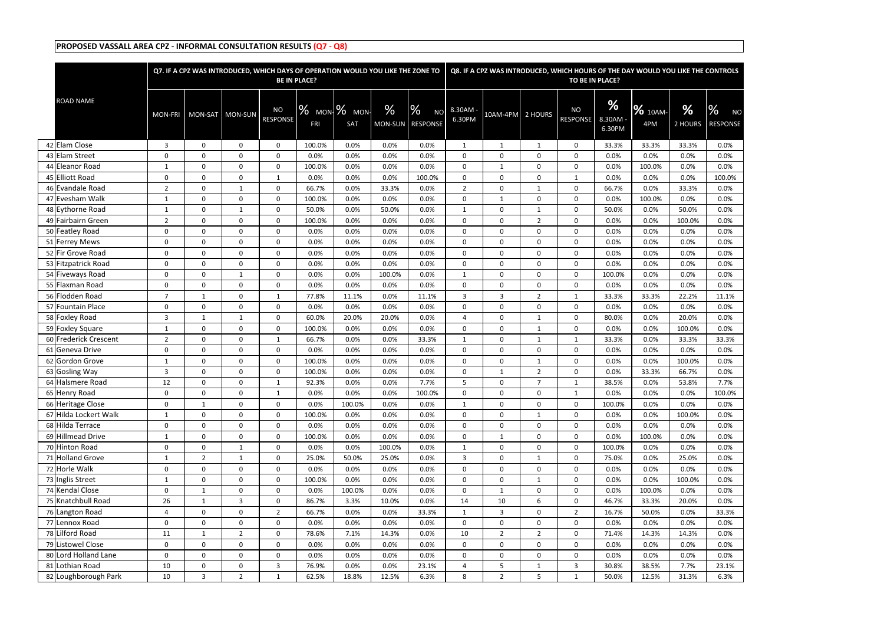|                       |                | Q7. IF A CPZ WAS INTRODUCED, WHICH DAYS OF OPERATION WOULD YOU LIKE THE ZONE TO |                  |                              | <b>BE IN PLACE?</b> |                           |                 |                                               |                  |                |                | Q8. IF A CPZ WAS INTRODUCED, WHICH HOURS OF THE DAY WOULD YOU LIKE THE CONTROLS<br>TO BE IN PLACE? |                       |                       |              |                                               |
|-----------------------|----------------|---------------------------------------------------------------------------------|------------------|------------------------------|---------------------|---------------------------|-----------------|-----------------------------------------------|------------------|----------------|----------------|----------------------------------------------------------------------------------------------------|-----------------------|-----------------------|--------------|-----------------------------------------------|
|                       |                |                                                                                 |                  |                              |                     |                           |                 |                                               |                  |                |                |                                                                                                    |                       |                       |              |                                               |
| <b>ROAD NAME</b>      | <b>MON-FRI</b> | MON-SAT MON-SUN                                                                 |                  | <b>NO</b><br><b>RESPONSE</b> | <b>FRI</b>          | $\%$ MON $\%$ MON-<br>SAT | $\%$<br>MON-SUN | $\frac{0}{2}$<br><b>NO</b><br><b>RESPONSE</b> | 8.30AM<br>6.30PM | 10AM-4PM       | 2 HOURS        | <b>NO</b><br><b>RESPONSE</b>                                                                       | %<br>8.30AM<br>6.30PM | <b>%</b> 10AM-<br>4PM | %<br>2 HOURS | $\frac{0}{6}$<br><b>NO</b><br><b>RESPONSE</b> |
| 42 Elam Close         | 3              | $\mathbf 0$                                                                     | $\mathbf 0$      | $\mathbf 0$                  | 100.0%              | 0.0%                      | 0.0%            | 0.0%                                          | 1                | $\mathbf{1}$   | -1             | $\Omega$                                                                                           | 33.3%                 | 33.3%                 | 33.3%        | 0.0%                                          |
| 43 Elam Street        | 0              | $\mathbf 0$                                                                     | $\mathbf 0$      | $\mathbf 0$                  | 0.0%                | 0.0%                      | 0.0%            | 0.0%                                          | $\Omega$         | $\Omega$       | $\mathbf{0}$   | $\Omega$                                                                                           | 0.0%                  | 0.0%                  | 0.0%         | 0.0%                                          |
| 44 Eleanor Road       | 1              | $\mathbf 0$                                                                     | 0                | 0                            | 100.0%              | 0.0%                      | 0.0%            | 0.0%                                          | $\Omega$         | 1              | 0              | $\mathbf 0$                                                                                        | 0.0%                  | 100.0%                | 0.0%         | 0.0%                                          |
| 45 Elliott Road       | $\mathbf 0$    | $\mathbf 0$                                                                     | $\mathbf 0$      | 1                            | 0.0%                | 0.0%                      | 0.0%            | 100.0%                                        | $\Omega$         | 0              | $\mathbf 0$    | 1                                                                                                  | 0.0%                  | 0.0%                  | 0.0%         | 100.0%                                        |
| 46 Evandale Road      | $\overline{2}$ | 0                                                                               | $\mathbf{1}$     | 0                            | 66.7%               | 0.0%                      | 33.3%           | 0.0%                                          | 2                | 0              | 1              | $\mathbf 0$                                                                                        | 66.7%                 | 0.0%                  | 33.3%        | 0.0%                                          |
| 47 Evesham Walk       | 1              | $\mathbf 0$                                                                     | $\mathbf 0$      | $\mathbf 0$                  | 100.0%              | 0.0%                      | 0.0%            | 0.0%                                          | $\mathbf 0$      | 1              | $\mathbf 0$    | $\mathbf 0$                                                                                        | 0.0%                  | 100.0%                | 0.0%         | 0.0%                                          |
| 48 Eythorne Road      | $\overline{1}$ | $\mathbf 0$                                                                     | 1                | $\mathbf 0$                  | 50.0%               | 0.0%                      | 50.0%           | 0.0%                                          | 1                | 0              | $\mathbf{1}$   | $\mathbf 0$                                                                                        | 50.0%                 | 0.0%                  | 50.0%        | 0.0%                                          |
| 49 Fairbairn Green    | $\overline{2}$ | $\Omega$                                                                        | $\mathbf 0$      | $\mathbf 0$                  | 100.0%              | 0.0%                      | 0.0%            | 0.0%                                          | $\Omega$         | 0              | $\overline{2}$ | $\Omega$                                                                                           | 0.0%                  | 0.0%                  | 100.0%       | 0.0%                                          |
| 50 Featley Road       | $\mathbf 0$    | $\Omega$                                                                        | $\mathbf 0$      | $\Omega$                     | 0.0%                | 0.0%                      | 0.0%            | 0.0%                                          | $\Omega$         | $\Omega$       | 0              | $\Omega$                                                                                           | 0.0%                  | 0.0%                  | 0.0%         | 0.0%                                          |
| 51 Ferrey Mews        | $\mathbf 0$    | $\mathbf 0$                                                                     | $\mathbf 0$      | $\mathbf 0$                  | 0.0%                | 0.0%                      | 0.0%            | 0.0%                                          | $\mathbf 0$      | 0              | $\mathbf 0$    | $\mathbf 0$                                                                                        | 0.0%                  | 0.0%                  | 0.0%         | 0.0%                                          |
| 52 Fir Grove Road     | 0              | $\mathbf 0$                                                                     | $\mathbf 0$      | $\mathbf 0$                  | 0.0%                | 0.0%                      | 0.0%            | 0.0%                                          | $\mathbf 0$      | 0              | 0              | $\mathbf 0$                                                                                        | 0.0%                  | 0.0%                  | 0.0%         | 0.0%                                          |
| 53 Fitzpatrick Road   | $\mathbf 0$    | $\mathbf 0$                                                                     | $\boldsymbol{0}$ | $\mathbf 0$                  | 0.0%                | 0.0%                      | 0.0%            | 0.0%                                          | $\mathbf 0$      | 0              | $\mathbf 0$    | $\mathbf 0$                                                                                        | 0.0%                  | 0.0%                  | 0.0%         | 0.0%                                          |
| 54 Fiveways Road      | $\mathbf 0$    | $\mathbf 0$                                                                     | 1                | $\mathbf 0$                  | 0.0%                | 0.0%                      | 100.0%          | 0.0%                                          | 1                | 0              | 0              | $\mathbf 0$                                                                                        | 100.0%                | 0.0%                  | 0.0%         | 0.0%                                          |
| 55 Flaxman Road       | 0              | $\mathbf 0$                                                                     | $\mathbf 0$      | $\mathbf 0$                  | 0.0%                | 0.0%                      | 0.0%            | 0.0%                                          | $\Omega$         | 0              | 0              | $\Omega$                                                                                           | 0.0%                  | 0.0%                  | 0.0%         | 0.0%                                          |
| 56 Flodden Road       | 7              | $\mathbf{1}$                                                                    | $\mathbf 0$      | 1                            | 77.8%               | 11.1%                     | 0.0%            | 11.1%                                         | 3                | 3              | $\overline{2}$ | 1                                                                                                  | 33.3%                 | 33.3%                 | 22.2%        | 11.1%                                         |
| 57 Fountain Place     | $\mathbf 0$    | $\mathbf 0$                                                                     | $\mathbf 0$      | $\mathbf 0$                  | 0.0%                | 0.0%                      | 0.0%            | 0.0%                                          | $\Omega$         | $\Omega$       | $\Omega$       | $\mathbf 0$                                                                                        | 0.0%                  | 0.0%                  | 0.0%         | 0.0%                                          |
| 58 Foxley Road        | 3              | 1                                                                               | $\mathbf{1}$     | $\mathbf 0$                  | 60.0%               | 20.0%                     | 20.0%           | 0.0%                                          | 4                | 0              | $\mathbf{1}$   | $\mathbf 0$                                                                                        | 80.0%                 | 0.0%                  | 20.0%        | 0.0%                                          |
| 59 Foxley Square      | $\mathbf{1}$   | $\mathbf 0$                                                                     | $\mathbf 0$      | 0                            | 100.0%              | 0.0%                      | 0.0%            | 0.0%                                          | $\Omega$         | 0              | $\mathbf{1}$   | $\mathbf 0$                                                                                        | 0.0%                  | 0.0%                  | 100.0%       | 0.0%                                          |
| 60 Frederick Crescent | $\overline{2}$ | $\mathbf 0$                                                                     | $\mathbf 0$      | 1                            | 66.7%               | 0.0%                      | 0.0%            | 33.3%                                         | $\mathbf{1}$     | 0              | $\mathbf{1}$   |                                                                                                    | 33.3%                 | 0.0%                  | 33.3%        | 33.3%                                         |
| 61 Geneva Drive       | $\mathbf 0$    | $\mathbf 0$                                                                     | $\mathbf 0$      | $\mathbf 0$                  | 0.0%                | 0.0%                      | 0.0%            | 0.0%                                          | $\Omega$         | 0              | $\mathbf 0$    | $\Omega$                                                                                           | 0.0%                  | 0.0%                  | 0.0%         | 0.0%                                          |
| 62 Gordon Grove       | $\mathbf{1}$   | 0                                                                               | $\mathbf 0$      | $\mathbf 0$                  | 100.0%              | 0.0%                      | 0.0%            | 0.0%                                          | $\Omega$         | 0              | $\mathbf{1}$   | $\mathbf 0$                                                                                        | 0.0%                  | 0.0%                  | 100.0%       | 0.0%                                          |
| 63 Gosling Way        | 3              | $\mathbf 0$                                                                     | $\mathbf 0$      | 0                            | 100.0%              | 0.0%                      | 0.0%            | 0.0%                                          | $\mathbf 0$      | 1              | $\overline{2}$ | 0                                                                                                  | 0.0%                  | 33.3%                 | 66.7%        | 0.0%                                          |
| 64 Halsmere Road      | 12             | $\mathbf 0$                                                                     | $\mathbf 0$      | 1                            | 92.3%               | 0.0%                      | 0.0%            | 7.7%                                          | 5                | 0              | $\overline{7}$ | 1                                                                                                  | 38.5%                 | 0.0%                  | 53.8%        | 7.7%                                          |
| 65 Henry Road         | $\mathbf{0}$   | $\mathbf{0}$                                                                    | $\Omega$         | -1                           | 0.0%                | 0.0%                      | 0.0%            | 100.0%                                        | $\Omega$         | 0              | $\Omega$       |                                                                                                    | 0.0%                  | 0.0%                  | 0.0%         | 100.0%                                        |
| 66 Heritage Close     | 0              | 1                                                                               | $\boldsymbol{0}$ | 0                            | 0.0%                | 100.0%                    | 0.0%            | 0.0%                                          | 1                | 0              | 0              | 0                                                                                                  | 100.0%                | 0.0%                  | 0.0%         | 0.0%                                          |
| 67 Hilda Lockert Walk | $\mathbf{1}$   | $\mathbf 0$                                                                     | $\mathbf 0$      | $\mathbf 0$                  | 100.0%              | 0.0%                      | 0.0%            | 0.0%                                          | $\mathbf 0$      | 0              | $\mathbf{1}$   | $\mathbf{0}$                                                                                       | 0.0%                  | 0.0%                  | 100.0%       | 0.0%                                          |
| 68 Hilda Terrace      | 0              | 0                                                                               | $\boldsymbol{0}$ | 0                            | 0.0%                | 0.0%                      | $0.0\%$         | 0.0%                                          | $\mathbf 0$      | 0              | 0              | $\mathbf{0}$                                                                                       | 0.0%                  | 0.0%                  | 0.0%         | 0.0%                                          |
| 69 Hillmead Drive     | 1              | $\mathbf 0$                                                                     | $\boldsymbol{0}$ | $\mathbf 0$                  | 100.0%              | 0.0%                      | 0.0%            | 0.0%                                          | $\mathbf 0$      | $\mathbf{1}$   | 0              | $\mathbf 0$                                                                                        | 0.0%                  | 100.0%                | 0.0%         | 0.0%                                          |
| 70 Hinton Road        | 0              | $\mathbf 0$                                                                     | $\mathbf{1}$     | 0                            | 0.0%                | 0.0%                      | 100.0%          | 0.0%                                          | $\mathbf{1}$     | 0              | 0              | $\mathbf 0$                                                                                        | 100.0%                | 0.0%                  | 0.0%         | 0.0%                                          |
| 71 Holland Grove      | $\mathbf{1}$   | 2                                                                               | $\mathbf{1}$     | 0                            | 25.0%               | 50.0%                     | 25.0%           | 0.0%                                          | $\mathbf{3}$     | 0              | $\mathbf{1}$   | $\mathbf 0$                                                                                        | 75.0%                 | 0.0%                  | 25.0%        | 0.0%                                          |
| 72 Horle Walk         | 0              | $\boldsymbol{0}$                                                                | $\boldsymbol{0}$ | 0                            | 0.0%                | 0.0%                      | 0.0%            | 0.0%                                          | $\mathbf 0$      | 0              | 0              | $\mathbf 0$                                                                                        | 0.0%                  | 0.0%                  | 0.0%         | 0.0%                                          |
| 73 Inglis Street      | $\mathbf{1}$   | $\boldsymbol{0}$                                                                | $\boldsymbol{0}$ | 0                            | 100.0%              | 0.0%                      | 0.0%            | 0.0%                                          | 0                | $\mathbf 0$    | $\mathbf{1}$   | $\mathbf 0$                                                                                        | 0.0%                  | 0.0%                  | 100.0%       | 0.0%                                          |
| 74 Kendal Close       | 0              | 1                                                                               | $\boldsymbol{0}$ | 0                            | 0.0%                | 100.0%                    | 0.0%            | 0.0%                                          | $\mathbf 0$      | $\mathbf{1}$   | $\mathbf 0$    | $\mathbf{0}$                                                                                       | 0.0%                  | 100.0%                | 0.0%         | 0.0%                                          |
| 75 Knatchbull Road    | 26             | 1                                                                               | 3                | 0                            | 86.7%               | 3.3%                      | 10.0%           | 0.0%                                          | 14               | 10             | 6              | $\mathbf{0}$                                                                                       | 46.7%                 | 33.3%                 | 20.0%        | 0.0%                                          |
| 76 Langton Road       | $\overline{4}$ | $\mathbf 0$                                                                     | $\boldsymbol{0}$ | $\overline{2}$               | 66.7%               | 0.0%                      | 0.0%            | 33.3%                                         | $\mathbf{1}$     | 3              | $\mathbf 0$    | $\overline{2}$                                                                                     | 16.7%                 | 50.0%                 | 0.0%         | 33.3%                                         |
| 77 Lennox Road        | 0              | $\boldsymbol{0}$                                                                | $\boldsymbol{0}$ | 0                            | 0.0%                | 0.0%                      | 0.0%            | 0.0%                                          | $\mathbf 0$      | 0              | 0              | $\mathbf 0$                                                                                        | 0.0%                  | 0.0%                  | 0.0%         | 0.0%                                          |
| 78 Lilford Road       | 11             | $\mathbf{1}$                                                                    | $\overline{2}$   | 0                            | 78.6%               | 7.1%                      | 14.3%           | 0.0%                                          | 10               | $\overline{2}$ | $\overline{2}$ | $\mathbf{0}$                                                                                       | 71.4%                 | 14.3%                 | 14.3%        | 0.0%                                          |
| 79 Listowel Close     | 0              | $\boldsymbol{0}$                                                                | $\boldsymbol{0}$ | 0                            | 0.0%                | 0.0%                      | 0.0%            | 0.0%                                          | $\mathbf 0$      | 0              | 0              | $\mathbf 0$                                                                                        | 0.0%                  | 0.0%                  | 0.0%         | 0.0%                                          |
| 80 Lord Holland Lane  | $\mathbf 0$    | $\mathbf 0$                                                                     | $\boldsymbol{0}$ | 0                            | 0.0%                | 0.0%                      | 0.0%            | 0.0%                                          | $\mathbf 0$      | 0              | 0              | $\mathbf 0$                                                                                        | 0.0%                  | 0.0%                  | 0.0%         | 0.0%                                          |
| 81 Lothian Road       | 10             | 0                                                                               | $\boldsymbol{0}$ | 3                            | 76.9%               | 0.0%                      | 0.0%            | 23.1%                                         | 4                | 5              | 1              | 3                                                                                                  | 30.8%                 | 38.5%                 | 7.7%         | 23.1%                                         |
| 82 Loughborough Park  | 10             | 3                                                                               | $\overline{2}$   | 1                            | 62.5%               | 18.8%                     | 12.5%           | 6.3%                                          | 8                | $\overline{2}$ | 5              | 1                                                                                                  | 50.0%                 | 12.5%                 | 31.3%        | 6.3%                                          |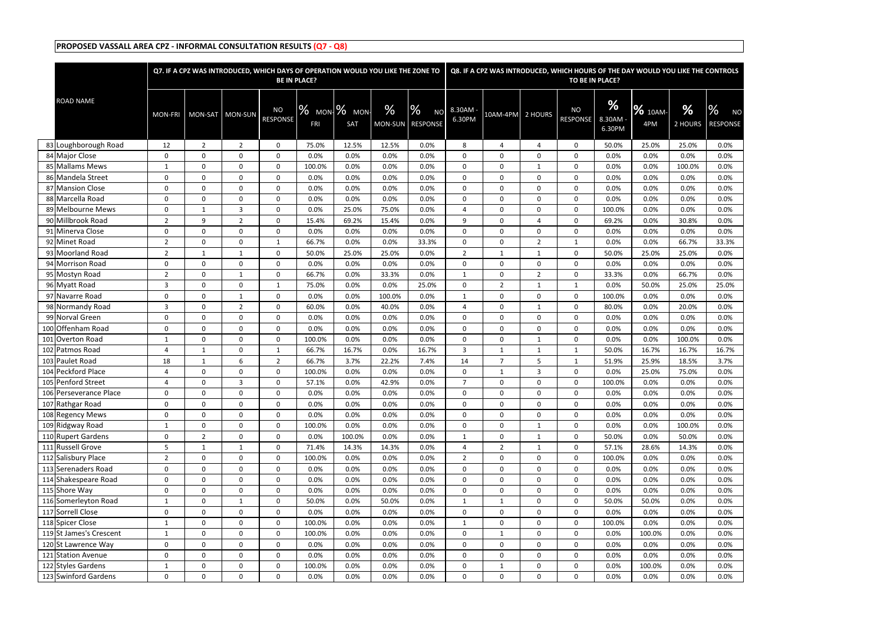|                                  |                | Q7. IF A CPZ WAS INTRODUCED, WHICH DAYS OF OPERATION WOULD YOU LIKE THE ZONE TO |                  |                       | <b>BE IN PLACE?</b> |                      |                 |                                   |                  |                         |                   | TO BE IN PLACE?              |                       |                       | Q8. IF A CPZ WAS INTRODUCED, WHICH HOURS OF THE DAY WOULD YOU LIKE THE CONTROLS |                                               |
|----------------------------------|----------------|---------------------------------------------------------------------------------|------------------|-----------------------|---------------------|----------------------|-----------------|-----------------------------------|------------------|-------------------------|-------------------|------------------------------|-----------------------|-----------------------|---------------------------------------------------------------------------------|-----------------------------------------------|
| <b>ROAD NAME</b>                 | <b>MON-FRI</b> | MON-SAT MON-SUN                                                                 |                  | <b>NO</b><br>RESPONSE | <b>FRI</b>          | % мом- % мом-<br>SAT | $\%$<br>MON-SUN | %<br><b>NO</b><br><b>RESPONSE</b> | 8.30AM<br>6.30PM | 10AM-4PM                | 2 HOURS           | <b>NO</b><br><b>RESPONSE</b> | %<br>8.30AM<br>6.30PM | <b>%</b> 10AM-<br>4PM | $\%$<br>2 HOURS                                                                 | $\frac{0}{6}$<br><b>NO</b><br><b>RESPONSE</b> |
| 83 Loughborough Road             | 12             | $\overline{2}$                                                                  | $\overline{2}$   | $\mathbf 0$           | 75.0%               | 12.5%                | 12.5%           | 0.0%                              | 8                | 4                       | 4                 | 0                            | 50.0%                 | 25.0%                 | 25.0%                                                                           | 0.0%                                          |
| 84 Major Close                   | 0              | $\mathbf 0$                                                                     | $\mathbf 0$      | 0                     | 0.0%                | 0.0%                 | 0.0%            | 0.0%                              | $\Omega$         | $\Omega$                | $\mathbf{0}$      | $\Omega$                     | 0.0%                  | 0.0%                  | 0.0%                                                                            | 0.0%                                          |
| 85 Mallams Mews                  | $\mathbf{1}$   | $\mathbf 0$                                                                     | $\mathbf 0$      | 0                     | 100.0%              | 0.0%                 | 0.0%            | 0.0%                              | $\Omega$         | $\Omega$                | 1                 | 0                            | 0.0%                  | 0.0%                  | 100.0%                                                                          | 0.0%                                          |
| 86 Mandela Street                | 0              | 0                                                                               | $\mathbf 0$      | $\Omega$              | 0.0%                | 0.0%                 | 0.0%            | 0.0%                              | $\Omega$         | $\Omega$                | 0                 | 0                            | 0.0%                  | 0.0%                  | 0.0%                                                                            | 0.0%                                          |
| 87 Mansion Close                 | 0              | $\mathbf 0$                                                                     | $\mathbf 0$      | 0                     | 0.0%                | 0.0%                 | 0.0%            | 0.0%                              | $\mathbf{0}$     | $\mathbf 0$             | 0                 | 0                            | 0.0%                  | 0.0%                  | 0.0%                                                                            | 0.0%                                          |
| 88 Marcella Road                 | 0              | 0                                                                               | $\mathbf 0$      | 0                     | 0.0%                | 0.0%                 | 0.0%            | 0.0%                              | $\Omega$         | $\mathbf 0$             | 0                 | 0                            | 0.0%                  | 0.0%                  | 0.0%                                                                            | 0.0%                                          |
| 89 Melbourne Mews                | 0              | 1                                                                               | 3                | $\mathbf 0$           | 0.0%                | 25.0%                | 75.0%           | 0.0%                              | 4                | 0                       | 0                 | 0                            | 100.0%                | 0.0%                  | 0.0%                                                                            | 0.0%                                          |
| 90 Millbrook Road                | 2              | 9                                                                               | 2                | $\mathbf 0$           | 15.4%               | 69.2%                | 15.4%           | 0.0%                              | 9                | $\mathbf{0}$            | 4                 | $\mathbf 0$                  | 69.2%                 | 0.0%                  | 30.8%                                                                           | 0.0%                                          |
| 91 Minerva Close                 | 0              | $\mathbf 0$                                                                     | $\mathbf 0$      | 0                     | 0.0%                | $0.0\%$              | 0.0%            | 0.0%                              | $\Omega$         | $\Omega$                | $\Omega$          | 0                            | 0.0%                  | 0.0%                  | 0.0%                                                                            | 0.0%                                          |
| 92 Minet Road                    | $\overline{2}$ | $\mathbf 0$                                                                     | $\mathbf 0$      | 1                     | 66.7%               | 0.0%                 | 0.0%            | 33.3%                             | $\Omega$         | $\Omega$                | $\overline{2}$    |                              | 0.0%                  | 0.0%                  | 66.7%                                                                           | 33.3%                                         |
| 93 Moorland Road                 | $\overline{2}$ | $\mathbf{1}$                                                                    | $\mathbf{1}$     | 0                     | 50.0%               | 25.0%                | 25.0%           | 0.0%                              | $\overline{2}$   | $\mathbf{1}$            | 1                 | 0                            | 50.0%                 | 25.0%                 | 25.0%                                                                           | 0.0%                                          |
| 94 Morrison Road                 | 0              | 0                                                                               | 0                | 0                     | 0.0%                | 0.0%                 | 0.0%            | 0.0%                              | $\mathbf{0}$     | $\mathbf 0$             | 0                 | 0                            | 0.0%                  | 0.0%                  | 0.0%                                                                            | 0.0%                                          |
| 95 Mostyn Road                   | 2              | 0                                                                               | 1                | $\mathbf 0$           | 66.7%               | 0.0%                 | 33.3%           | 0.0%                              | 1                | 0                       | $\overline{2}$    | 0                            | 33.3%                 | 0.0%                  | 66.7%                                                                           | 0.0%                                          |
| 96 Myatt Road<br>97 Navarre Road | 3              | $\mathbf 0$                                                                     | $\mathbf 0$      | 1                     | 75.0%<br>0.0%       | 0.0%<br>0.0%         | 0.0%<br>100.0%  | 25.0%<br>0.0%                     | $\Omega$         | $\overline{2}$          | $\mathbf{1}$      | 1                            | 0.0%                  | 50.0%<br>0.0%         | 25.0%<br>0.0%                                                                   | 25.0%                                         |
| 98 Normandy Road                 | 0<br>3         | $\mathbf 0$<br>0                                                                | 1<br>2           | 0<br>$\Omega$         | 60.0%               | 0.0%                 | 40.0%           | 0.0%                              | 1<br>4           | $\mathbf 0$<br>$\Omega$ | 0<br>$\mathbf{1}$ | $\mathbf{0}$<br>$\mathbf{0}$ | 100.0%<br>80.0%       | 0.0%                  | 20.0%                                                                           | 0.0%<br>0.0%                                  |
| 99 Norval Green                  | $\mathbf{0}$   | $\mathbf 0$                                                                     | $\mathbf 0$      | $\mathbf 0$           | 0.0%                | 0.0%                 | 0.0%            | 0.0%                              | $\Omega$         | $\mathbf 0$             | 0                 | 0                            | 0.0%                  | 0.0%                  | 0.0%                                                                            | 0.0%                                          |
| 100 Offenham Road                | 0              | $\mathbf 0$                                                                     | $\mathbf 0$      | 0                     | 0.0%                | 0.0%                 | 0.0%            | 0.0%                              | $\Omega$         | $\mathbf 0$             | 0                 | 0                            | 0.0%                  | 0.0%                  | 0.0%                                                                            | 0.0%                                          |
| 101 Overton Road                 | -1             | 0                                                                               | $\mathbf 0$      | 0                     | 100.0%              | 0.0%                 | 0.0%            | 0.0%                              | $\Omega$         | $\mathbf 0$             | $\mathbf{1}$      | 0                            | 0.0%                  | 0.0%                  | 100.0%                                                                          | 0.0%                                          |
| 102 Patmos Road                  | 4              | 1                                                                               | $\mathbf 0$      | 1                     | 66.7%               | 16.7%                | 0.0%            | 16.7%                             | 3                | 1                       | $\mathbf 1$       | 1                            | 50.0%                 | 16.7%                 | 16.7%                                                                           | 16.7%                                         |
| 103 Paulet Road                  | 18             | $\mathbf{1}$                                                                    | 6                | $\overline{2}$        | 66.7%               | 3.7%                 | 22.2%           | 7.4%                              | 14               | 7                       | 5                 | $\mathbf{1}$                 | 51.9%                 | 25.9%                 | 18.5%                                                                           | 3.7%                                          |
| 104 Peckford Place               | 4              | $\mathbf 0$                                                                     | $\mathbf 0$      | 0                     | 100.0%              | 0.0%                 | 0.0%            | 0.0%                              | $\mathbf{0}$     | 1                       | 3                 | $\Omega$                     | 0.0%                  | 25.0%                 | 75.0%                                                                           | 0.0%                                          |
| 105 Penford Street               | $\overline{4}$ | 0                                                                               | 3                | $\mathbf 0$           | 57.1%               | 0.0%                 | 42.9%           | 0.0%                              | $\overline{7}$   | $\Omega$                | 0                 | 0                            | 100.0%                | 0.0%                  | 0.0%                                                                            | 0.0%                                          |
| 106 Perseverance Place           | $\mathbf{0}$   | 0                                                                               | $\mathbf{0}$     | $\Omega$              | 0.0%                | 0.0%                 | 0.0%            | 0.0%                              | $\mathbf{0}$     | $\mathbf{0}$            | $\mathbf{0}$      | $\Omega$                     | 0.0%                  | 0.0%                  | 0.0%                                                                            | 0.0%                                          |
| 107 Rathgar Road                 | 0              | 0                                                                               | $\mathbf 0$      | 0                     | 0.0%                | 0.0%                 | 0.0%            | 0.0%                              | $\mathbf 0$      | $\mathbf 0$             | 0                 | 0                            | 0.0%                  | 0.0%                  | 0.0%                                                                            | 0.0%                                          |
| 108 Regency Mews                 | 0              | $\mathbf 0$                                                                     | $\boldsymbol{0}$ | 0                     | 0.0%                | 0.0%                 | 0.0%            | 0.0%                              | $\mathbf 0$      | 0                       | 0                 | $\mathbf 0$                  | 0.0%                  | 0.0%                  | 0.0%                                                                            | 0.0%                                          |
| 109 Ridgway Road                 | $\mathbf{1}$   | 0                                                                               | $\mathbf 0$      | $\mathbf 0$           | 100.0%              | 0.0%                 | 0.0%            | 0.0%                              | $\mathbf 0$      | 0                       | $\mathbf{1}$      | $\mathbf 0$                  | 0.0%                  | 0.0%                  | 100.0%                                                                          | 0.0%                                          |
| 110 Rupert Gardens               | 0              | $\overline{2}$                                                                  | $\mathbf 0$      | 0                     | 0.0%                | 100.0%               | 0.0%            | 0.0%                              | $\mathbf{1}$     | $\mathbf 0$             | $\mathbf{1}$      | 0                            | 50.0%                 | 0.0%                  | 50.0%                                                                           | 0.0%                                          |
| 111 Russell Grove                | 5              | $\mathbf{1}$                                                                    | $\mathbf{1}$     | 0                     | 71.4%               | 14.3%                | 14.3%           | 0.0%                              | 4                | $\overline{2}$          | 1                 | 0                            | 57.1%                 | 28.6%                 | 14.3%                                                                           | 0.0%                                          |
| 112 Salisbury Place              | $\overline{2}$ | $\mathbf 0$                                                                     | $\boldsymbol{0}$ | $\boldsymbol{0}$      | 100.0%              | 0.0%                 | 0.0%            | 0.0%                              | $\overline{2}$   | $\mathbf 0$             | 0                 | $\mathbf 0$                  | 100.0%                | 0.0%                  | 0.0%                                                                            | 0.0%                                          |
| 113 Serenaders Road              | 0              | $\mathbf 0$                                                                     | $\boldsymbol{0}$ | 0                     | 0.0%                | 0.0%                 | 0.0%            | 0.0%                              | $\mathbf 0$      | 0                       | 0                 | $\mathbf 0$                  | 0.0%                  | 0.0%                  | 0.0%                                                                            | 0.0%                                          |
| 114 Shakespeare Road             | 0              | 0                                                                               | $\mathbf 0$      | $\mathbf 0$           | 0.0%                | 0.0%                 | 0.0%            | 0.0%                              | $\mathbf 0$      | 0                       | 0                 | $\mathbf 0$                  | 0.0%                  | 0.0%                  | 0.0%                                                                            | 0.0%                                          |
| 115 Shore Way                    | $\mathbf 0$    | $\mathbf 0$                                                                     | $\mathbf 0$      | $\mathbf 0$           | 0.0%                | 0.0%                 | 0.0%            | 0.0%                              | $\mathbf 0$      | $\mathbf 0$             | 0                 | $\mathbf 0$                  | 0.0%                  | 0.0%                  | 0.0%                                                                            | 0.0%                                          |
| 116 Somerleyton Road             | $\mathbf{1}$   | 0                                                                               | $\mathbf{1}$     | 0                     | 50.0%               | 0.0%                 | 50.0%           | 0.0%                              | $\mathbf{1}$     | $\mathbf{1}$            | 0                 | 0                            | 50.0%                 | 50.0%                 | 0.0%                                                                            | 0.0%                                          |
| 117 Sorrell Close                | $\mathbf 0$    | $\mathbf 0$                                                                     | $\mathbf 0$      | 0                     | 0.0%                | 0.0%                 | 0.0%            | 0.0%                              | $\Omega$         | $\mathbf{0}$            | $\mathbf 0$       | 0                            | 0.0%                  | 0.0%                  | 0.0%                                                                            | 0.0%                                          |
| 118 Spicer Close                 | $\mathbf{1}$   | 0                                                                               | $\mathbf 0$      | $\mathbf 0$           | 100.0%              | 0.0%                 | 0.0%            | 0.0%                              | $\mathbf{1}$     | 0                       | 0                 | 0                            | 100.0%                | 0.0%                  | 0.0%                                                                            | 0.0%                                          |
| 119 St James's Crescent          | $\mathbf{1}$   | 0                                                                               | $\mathbf 0$      | 0                     | 100.0%              | 0.0%                 | 0.0%            | 0.0%                              | $\mathbf 0$      | $\mathbf{1}$            | 0                 | $\mathbf 0$                  | 0.0%                  | 100.0%                | 0.0%                                                                            | 0.0%                                          |
| 120 St Lawrence Way              | 0              | $\mathbf 0$                                                                     | $\boldsymbol{0}$ | 0                     | 0.0%                | 0.0%                 | 0.0%            | 0.0%                              | $\mathbf 0$      | 0                       | 0                 | 0                            | 0.0%                  | 0.0%                  | 0.0%                                                                            | 0.0%                                          |
| 121 Station Avenue               | 0              | 0                                                                               | $\mathbf 0$      | $\mathbf 0$           | 0.0%                | 0.0%                 | 0.0%            | 0.0%                              | 0                | 0                       | 0                 | $\mathbf 0$                  | 0.0%                  | 0.0%                  | 0.0%                                                                            | 0.0%                                          |
| 122 Styles Gardens               | $\mathbf{1}$   | 0                                                                               | $\mathbf 0$      | 0                     | 100.0%              | 0.0%                 | 0.0%            | 0.0%                              | $\mathbf 0$      | $\mathbf{1}$            | 0                 | $\mathbf 0$                  | 0.0%                  | 100.0%                | 0.0%                                                                            | 0.0%                                          |
| 123 Swinford Gardens             | 0              | 0                                                                               | $\mathbf 0$      | 0                     | 0.0%                | 0.0%                 | 0.0%            | 0.0%                              | 0                | 0                       | 0                 | $\mathbf{0}$                 | 0.0%                  | 0.0%                  | 0.0%                                                                            | 0.0%                                          |